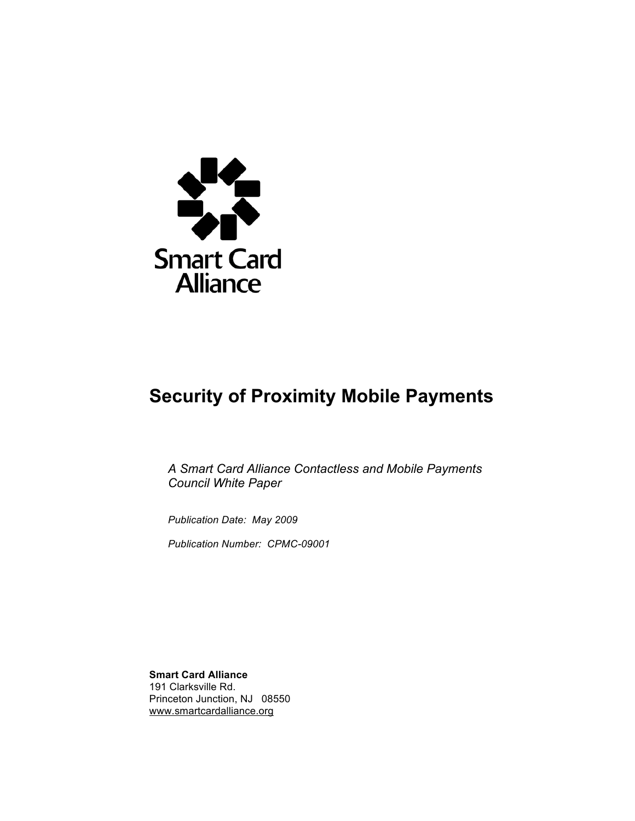

# **Security of Proximity Mobile Payments**

*A Smart Card Alliance Contactless and Mobile Payments Council White Paper*

*Publication Date: May 2009*

*Publication Number: CPMC-09001*

**Smart Card Alliance** 191 Clarksville Rd. Princeton Junction, NJ 08550 www.smartcardalliance.org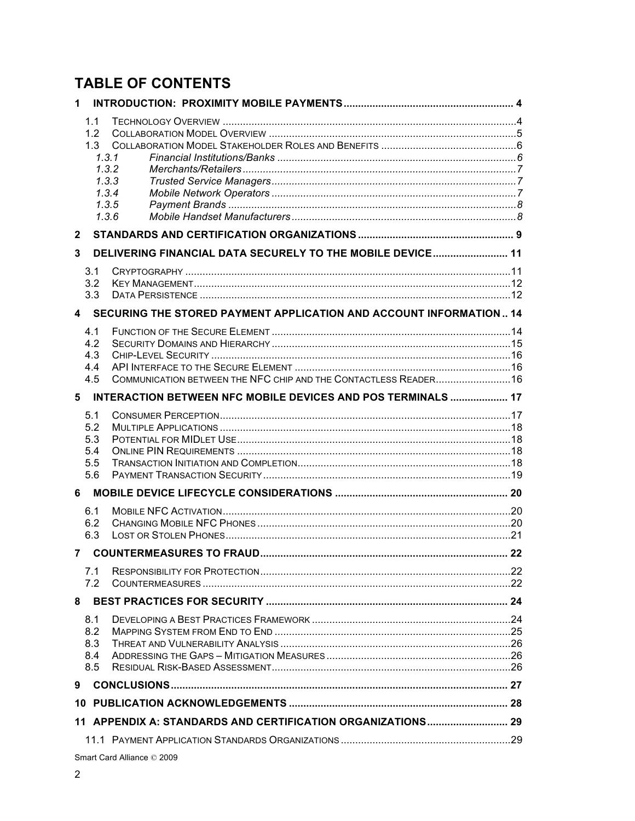# **TABLE OF CONTENTS**

| 1                          |                                                                         |                                                                    |  |  |
|----------------------------|-------------------------------------------------------------------------|--------------------------------------------------------------------|--|--|
|                            | 1.1<br>1.2<br>1.3<br>1.3.1<br>1.3.2<br>1.3.3<br>1.3.4<br>1.3.5<br>1.3.6 |                                                                    |  |  |
| $\mathbf{2}$               |                                                                         |                                                                    |  |  |
| 3                          |                                                                         | DELIVERING FINANCIAL DATA SECURELY TO THE MOBILE DEVICE 11         |  |  |
|                            | 3.1<br>3.2<br>3.3                                                       |                                                                    |  |  |
| 4                          |                                                                         | SECURING THE STORED PAYMENT APPLICATION AND ACCOUNT INFORMATION 14 |  |  |
|                            | 4.1<br>4.2<br>4.3<br>4.4<br>4.5                                         | COMMUNICATION BETWEEN THE NFC CHIP AND THE CONTACTLESS READER 16   |  |  |
| 5                          |                                                                         | INTERACTION BETWEEN NFC MOBILE DEVICES AND POS TERMINALS  17       |  |  |
|                            | 5.1<br>5.2<br>5.3<br>5.4<br>5.5<br>5.6                                  |                                                                    |  |  |
| 6                          |                                                                         |                                                                    |  |  |
|                            | 6.1<br>6.2<br>6.3                                                       |                                                                    |  |  |
| 7                          |                                                                         |                                                                    |  |  |
|                            | 7.1<br>7.2                                                              |                                                                    |  |  |
| 8                          |                                                                         |                                                                    |  |  |
|                            | 8.1<br>8.2<br>8.3<br>8.4                                                |                                                                    |  |  |
| 9                          | 8.5                                                                     |                                                                    |  |  |
|                            |                                                                         |                                                                    |  |  |
|                            |                                                                         |                                                                    |  |  |
|                            |                                                                         |                                                                    |  |  |
| Smart Card Alliance © 2009 |                                                                         |                                                                    |  |  |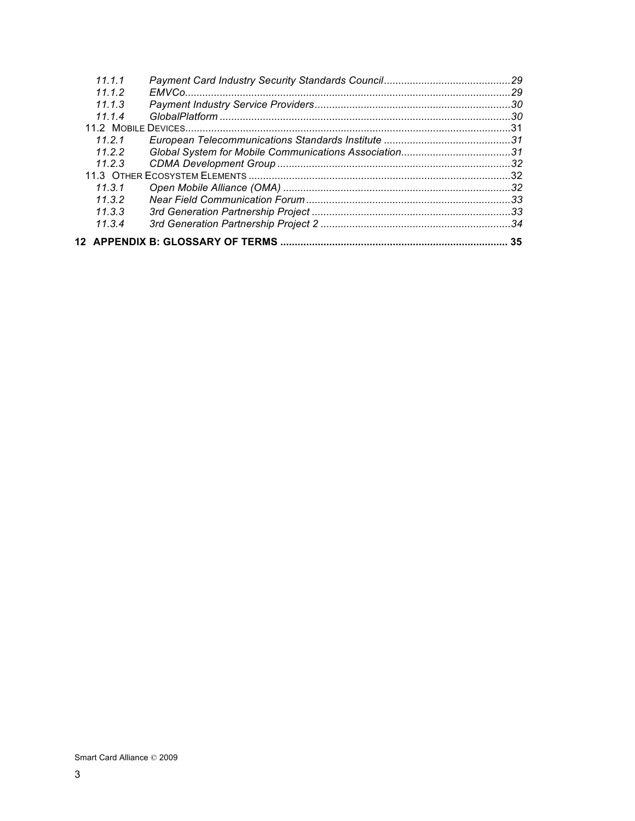| 11 1 1 |    |
|--------|----|
| 1112   |    |
| 1113   |    |
| 11.1.4 |    |
|        |    |
| 11 2 1 |    |
| 1122   |    |
| 11.2.3 |    |
|        |    |
| 11.3.1 |    |
| 1132   |    |
| 11.3.3 |    |
| 11.3.4 |    |
|        | 35 |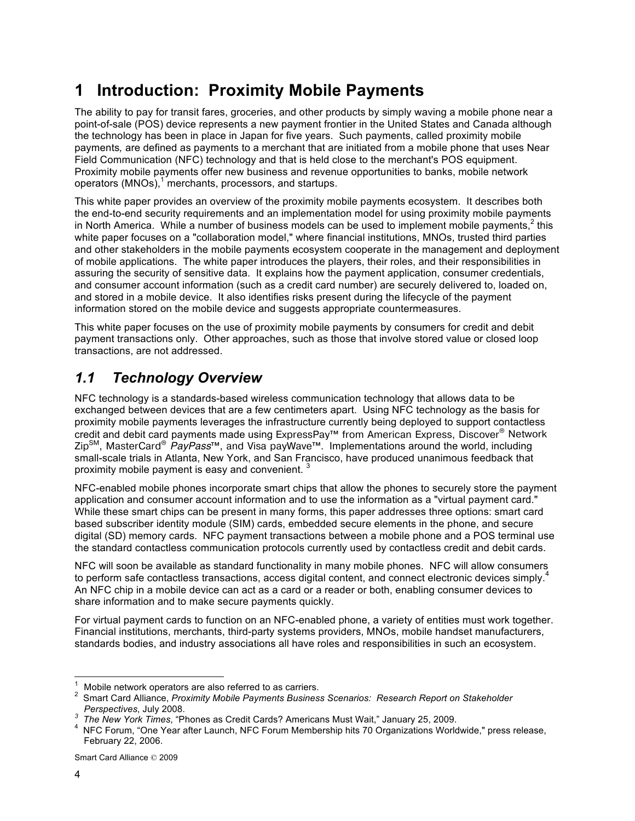# **1 Introduction: Proximity Mobile Payments**

The ability to pay for transit fares, groceries, and other products by simply waving a mobile phone near a point-of-sale (POS) device represents a new payment frontier in the United States and Canada although the technology has been in place in Japan for five years. Such payments, called proximity mobile payments*,* are defined as payments to a merchant that are initiated from a mobile phone that uses Near Field Communication (NFC) technology and that is held close to the merchant's POS equipment. Proximity mobile payments offer new business and revenue opportunities to banks, mobile network operators (MNOs),<sup>1</sup> merchants, processors, and startups.

This white paper provides an overview of the proximity mobile payments ecosystem. It describes both the end-to-end security requirements and an implementation model for using proximity mobile payments in North America. While a number of business models can be used to implement mobile payments,<sup>2</sup> this white paper focuses on a "collaboration model," where financial institutions, MNOs, trusted third parties and other stakeholders in the mobile payments ecosystem cooperate in the management and deployment of mobile applications. The white paper introduces the players, their roles, and their responsibilities in assuring the security of sensitive data. It explains how the payment application, consumer credentials, and consumer account information (such as a credit card number) are securely delivered to, loaded on, and stored in a mobile device. It also identifies risks present during the lifecycle of the payment information stored on the mobile device and suggests appropriate countermeasures.

This white paper focuses on the use of proximity mobile payments by consumers for credit and debit payment transactions only. Other approaches, such as those that involve stored value or closed loop transactions, are not addressed.

## *1.1 Technology Overview*

NFC technology is a standards-based wireless communication technology that allows data to be exchanged between devices that are a few centimeters apart. Using NFC technology as the basis for proximity mobile payments leverages the infrastructure currently being deployed to support contactless credit and debit card payments made using ExpressPay™ from American Express, Discover® Network ZipSM, MasterCard® *PayPass*™, and Visa payWave™. Implementations around the world, including small-scale trials in Atlanta, New York, and San Francisco, have produced unanimous feedback that proximity mobile payment is easy and convenient.

NFC-enabled mobile phones incorporate smart chips that allow the phones to securely store the payment application and consumer account information and to use the information as a "virtual payment card." While these smart chips can be present in many forms, this paper addresses three options: smart card based subscriber identity module (SIM) cards, embedded secure elements in the phone, and secure digital (SD) memory cards. NFC payment transactions between a mobile phone and a POS terminal use the standard contactless communication protocols currently used by contactless credit and debit cards.

NFC will soon be available as standard functionality in many mobile phones. NFC will allow consumers to perform safe contactless transactions, access digital content, and connect electronic devices simply.<sup>4</sup> An NFC chip in a mobile device can act as a card or a reader or both, enabling consumer devices to share information and to make secure payments quickly.

For virtual payment cards to function on an NFC-enabled phone, a variety of entities must work together. Financial institutions, merchants, third-party systems providers, MNOs, mobile handset manufacturers, standards bodies, and industry associations all have roles and responsibilities in such an ecosystem.

<sup>&</sup>lt;sup>1</sup> Mobile network operators are also referred to as carriers.<br><sup>2</sup> Smart Card Alliance, *Proximity Mobile Pourments Business* 

Smart Card Alliance, *Proximity Mobile Payments Business Scenarios: Research Report on Stakeholder Perspectives*, July 2008. *<sup>3</sup>*

*The New York Times*, "Phones as Credit Cards? Americans Must Wait," January 25, 2009. <sup>4</sup>

<sup>&</sup>lt;sup>4</sup> NFC Forum, "One Year after Launch, NFC Forum Membership hits 70 Organizations Worldwide," press release, February 22, 2006.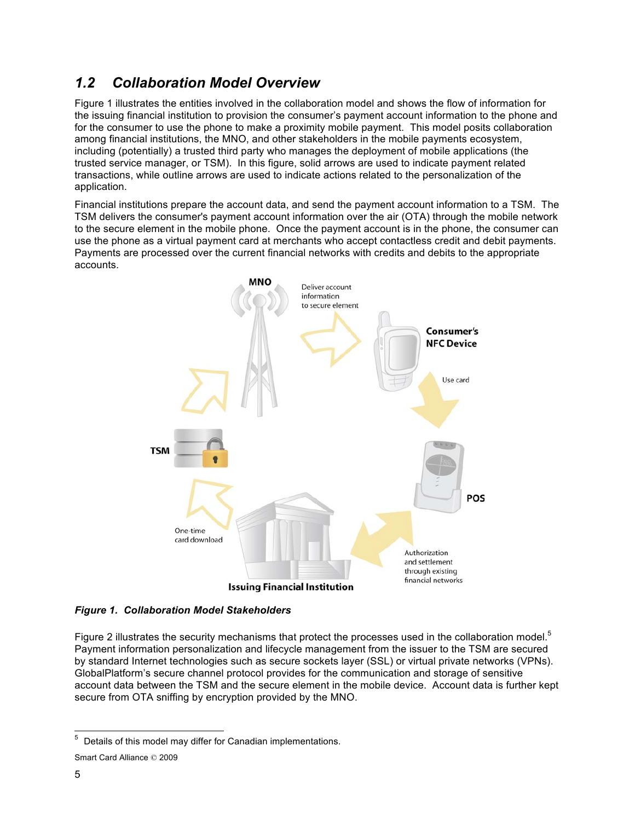### *1.2 Collaboration Model Overview*

Figure 1 illustrates the entities involved in the collaboration model and shows the flow of information for the issuing financial institution to provision the consumer's payment account information to the phone and for the consumer to use the phone to make a proximity mobile payment. This model posits collaboration among financial institutions, the MNO, and other stakeholders in the mobile payments ecosystem, including (potentially) a trusted third party who manages the deployment of mobile applications (the trusted service manager, or TSM). In this figure, solid arrows are used to indicate payment related transactions, while outline arrows are used to indicate actions related to the personalization of the application.

Financial institutions prepare the account data, and send the payment account information to a TSM. The TSM delivers the consumer's payment account information over the air (OTA) through the mobile network to the secure element in the mobile phone. Once the payment account is in the phone, the consumer can use the phone as a virtual payment card at merchants who accept contactless credit and debit payments. Payments are processed over the current financial networks with credits and debits to the appropriate accounts.



*Figure 1. Collaboration Model Stakeholders*

Figure 2 illustrates the security mechanisms that protect the processes used in the collaboration model.<sup>5</sup> Payment information personalization and lifecycle management from the issuer to the TSM are secured by standard Internet technologies such as secure sockets layer (SSL) or virtual private networks (VPNs). GlobalPlatform's secure channel protocol provides for the communication and storage of sensitive account data between the TSM and the secure element in the mobile device. Account data is further kept secure from OTA sniffing by encryption provided by the MNO.

 <sup>5</sup> Details of this model may differ for Canadian implementations.

Smart Card Alliance © 2009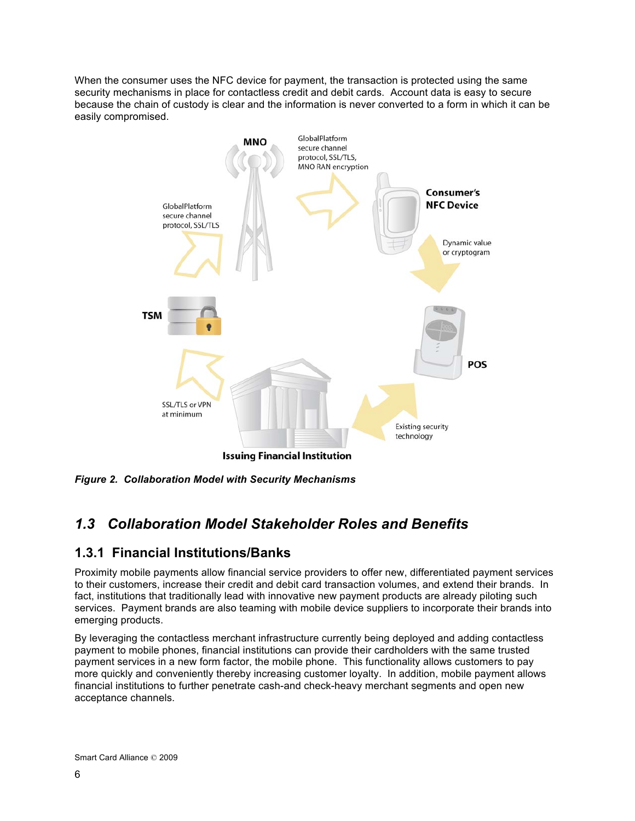When the consumer uses the NFC device for payment, the transaction is protected using the same security mechanisms in place for contactless credit and debit cards. Account data is easy to secure because the chain of custody is clear and the information is never converted to a form in which it can be easily compromised.



*Figure 2. Collaboration Model with Security Mechanisms* 

# *1.3 Collaboration Model Stakeholder Roles and Benefits*

### **1.3.1 Financial Institutions/Banks**

Proximity mobile payments allow financial service providers to offer new, differentiated payment services to their customers, increase their credit and debit card transaction volumes, and extend their brands. In fact, institutions that traditionally lead with innovative new payment products are already piloting such services. Payment brands are also teaming with mobile device suppliers to incorporate their brands into emerging products.

By leveraging the contactless merchant infrastructure currently being deployed and adding contactless payment to mobile phones, financial institutions can provide their cardholders with the same trusted payment services in a new form factor, the mobile phone. This functionality allows customers to pay more quickly and conveniently thereby increasing customer loyalty. In addition, mobile payment allows financial institutions to further penetrate cash-and check-heavy merchant segments and open new acceptance channels.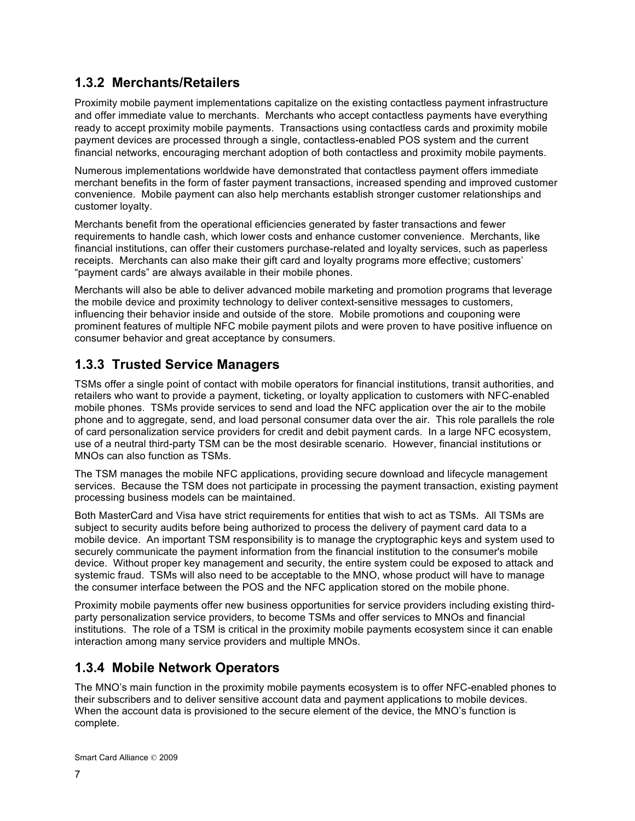### **1.3.2 Merchants/Retailers**

Proximity mobile payment implementations capitalize on the existing contactless payment infrastructure and offer immediate value to merchants. Merchants who accept contactless payments have everything ready to accept proximity mobile payments. Transactions using contactless cards and proximity mobile payment devices are processed through a single, contactless-enabled POS system and the current financial networks, encouraging merchant adoption of both contactless and proximity mobile payments.

Numerous implementations worldwide have demonstrated that contactless payment offers immediate merchant benefits in the form of faster payment transactions, increased spending and improved customer convenience. Mobile payment can also help merchants establish stronger customer relationships and customer loyalty.

Merchants benefit from the operational efficiencies generated by faster transactions and fewer requirements to handle cash, which lower costs and enhance customer convenience. Merchants, like financial institutions, can offer their customers purchase-related and loyalty services, such as paperless receipts. Merchants can also make their gift card and loyalty programs more effective; customers' "payment cards" are always available in their mobile phones.

Merchants will also be able to deliver advanced mobile marketing and promotion programs that leverage the mobile device and proximity technology to deliver context-sensitive messages to customers, influencing their behavior inside and outside of the store. Mobile promotions and couponing were prominent features of multiple NFC mobile payment pilots and were proven to have positive influence on consumer behavior and great acceptance by consumers.

### **1.3.3 Trusted Service Managers**

TSMs offer a single point of contact with mobile operators for financial institutions, transit authorities, and retailers who want to provide a payment, ticketing, or loyalty application to customers with NFC-enabled mobile phones. TSMs provide services to send and load the NFC application over the air to the mobile phone and to aggregate, send, and load personal consumer data over the air. This role parallels the role of card personalization service providers for credit and debit payment cards. In a large NFC ecosystem, use of a neutral third-party TSM can be the most desirable scenario. However, financial institutions or MNOs can also function as TSMs.

The TSM manages the mobile NFC applications, providing secure download and lifecycle management services. Because the TSM does not participate in processing the payment transaction, existing payment processing business models can be maintained.

Both MasterCard and Visa have strict requirements for entities that wish to act as TSMs. All TSMs are subject to security audits before being authorized to process the delivery of payment card data to a mobile device. An important TSM responsibility is to manage the cryptographic keys and system used to securely communicate the payment information from the financial institution to the consumer's mobile device. Without proper key management and security, the entire system could be exposed to attack and systemic fraud. TSMs will also need to be acceptable to the MNO, whose product will have to manage the consumer interface between the POS and the NFC application stored on the mobile phone.

Proximity mobile payments offer new business opportunities for service providers including existing thirdparty personalization service providers, to become TSMs and offer services to MNOs and financial institutions. The role of a TSM is critical in the proximity mobile payments ecosystem since it can enable interaction among many service providers and multiple MNOs.

### **1.3.4 Mobile Network Operators**

The MNO's main function in the proximity mobile payments ecosystem is to offer NFC-enabled phones to their subscribers and to deliver sensitive account data and payment applications to mobile devices. When the account data is provisioned to the secure element of the device, the MNO's function is complete.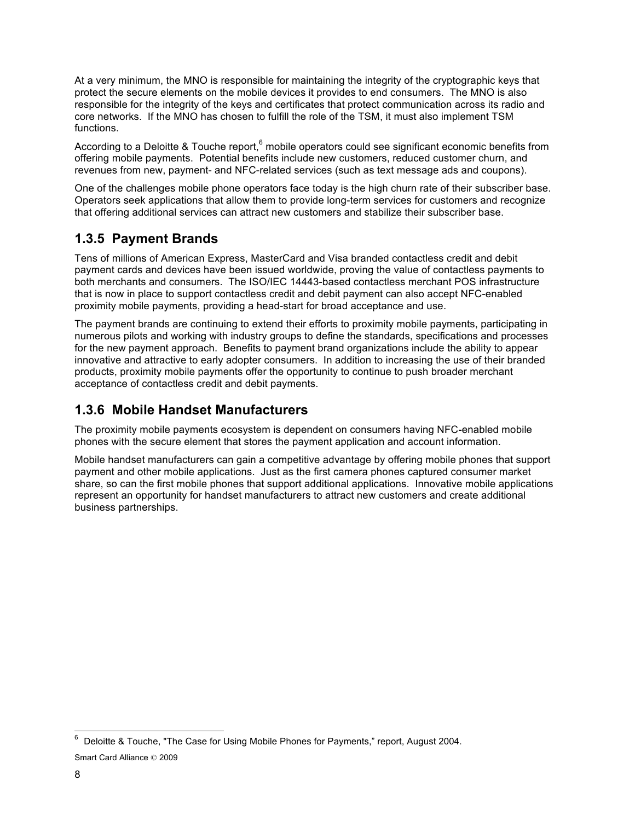At a very minimum, the MNO is responsible for maintaining the integrity of the cryptographic keys that protect the secure elements on the mobile devices it provides to end consumers. The MNO is also responsible for the integrity of the keys and certificates that protect communication across its radio and core networks. If the MNO has chosen to fulfill the role of the TSM, it must also implement TSM functions.

According to a Deloitte & Touche report,  $6$  mobile operators could see significant economic benefits from offering mobile payments. Potential benefits include new customers, reduced customer churn, and revenues from new, payment- and NFC-related services (such as text message ads and coupons).

One of the challenges mobile phone operators face today is the high churn rate of their subscriber base. Operators seek applications that allow them to provide long-term services for customers and recognize that offering additional services can attract new customers and stabilize their subscriber base.

### **1.3.5 Payment Brands**

Tens of millions of American Express, MasterCard and Visa branded contactless credit and debit payment cards and devices have been issued worldwide, proving the value of contactless payments to both merchants and consumers. The ISO/IEC 14443-based contactless merchant POS infrastructure that is now in place to support contactless credit and debit payment can also accept NFC-enabled proximity mobile payments, providing a head-start for broad acceptance and use.

The payment brands are continuing to extend their efforts to proximity mobile payments, participating in numerous pilots and working with industry groups to define the standards, specifications and processes for the new payment approach. Benefits to payment brand organizations include the ability to appear innovative and attractive to early adopter consumers. In addition to increasing the use of their branded products, proximity mobile payments offer the opportunity to continue to push broader merchant acceptance of contactless credit and debit payments.

### **1.3.6 Mobile Handset Manufacturers**

The proximity mobile payments ecosystem is dependent on consumers having NFC-enabled mobile phones with the secure element that stores the payment application and account information.

Mobile handset manufacturers can gain a competitive advantage by offering mobile phones that support payment and other mobile applications. Just as the first camera phones captured consumer market share, so can the first mobile phones that support additional applications. Innovative mobile applications represent an opportunity for handset manufacturers to attract new customers and create additional business partnerships.

 <sup>6</sup> Deloitte & Touche, "The Case for Using Mobile Phones for Payments," report, August 2004.

Smart Card Alliance © 2009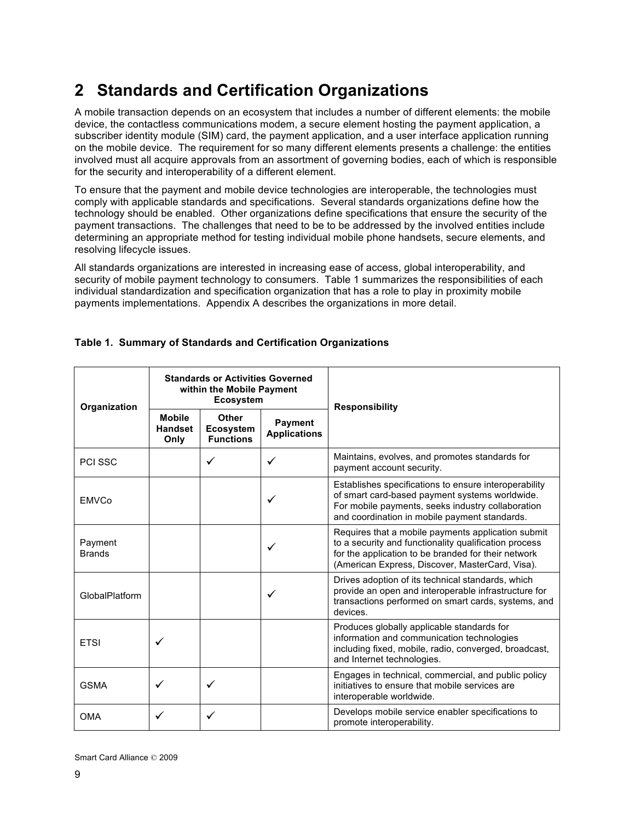# **2 Standards and Certification Organizations**

A mobile transaction depends on an ecosystem that includes a number of different elements: the mobile device, the contactless communications modem, a secure element hosting the payment application, a subscriber identity module (SIM) card, the payment application, and a user interface application running on the mobile device. The requirement for so many different elements presents a challenge: the entities involved must all acquire approvals from an assortment of governing bodies, each of which is responsible for the security and interoperability of a different element.

To ensure that the payment and mobile device technologies are interoperable, the technologies must comply with applicable standards and specifications. Several standards organizations define how the technology should be enabled. Other organizations define specifications that ensure the security of the payment transactions. The challenges that need to be to be addressed by the involved entities include determining an appropriate method for testing individual mobile phone handsets, secure elements, and resolving lifecycle issues.

All standards organizations are interested in increasing ease of access, global interoperability, and security of mobile payment technology to consumers. Table 1 summarizes the responsibilities of each individual standardization and specification organization that has a role to play in proximity mobile payments implementations. Appendix A describes the organizations in more detail.

| Organization             | <b>Standards or Activities Governed</b><br>within the Mobile Payment<br><b>Ecosystem</b> |                                                      |                                       | <b>Responsibility</b>                                                                                                                                                                                                 |  |
|--------------------------|------------------------------------------------------------------------------------------|------------------------------------------------------|---------------------------------------|-----------------------------------------------------------------------------------------------------------------------------------------------------------------------------------------------------------------------|--|
|                          | <b>Mobile</b><br><b>Handset</b><br>Only                                                  | <b>Other</b><br><b>Ecosystem</b><br><b>Functions</b> | <b>Payment</b><br><b>Applications</b> |                                                                                                                                                                                                                       |  |
| <b>PCI SSC</b>           |                                                                                          | $\checkmark$                                         | ✓                                     | Maintains, evolves, and promotes standards for<br>payment account security.                                                                                                                                           |  |
| <b>EMVCo</b>             |                                                                                          |                                                      | ✓                                     | Establishes specifications to ensure interoperability<br>of smart card-based payment systems worldwide.<br>For mobile payments, seeks industry collaboration<br>and coordination in mobile payment standards.         |  |
| Payment<br><b>Brands</b> |                                                                                          |                                                      | ✓                                     | Requires that a mobile payments application submit<br>to a security and functionality qualification process<br>for the application to be branded for their network<br>(American Express, Discover, MasterCard, Visa). |  |
| GlobalPlatform           |                                                                                          |                                                      | ✓                                     | Drives adoption of its technical standards, which<br>provide an open and interoperable infrastructure for<br>transactions performed on smart cards, systems, and<br>devices.                                          |  |
| <b>ETSI</b>              | ✓                                                                                        |                                                      |                                       | Produces globally applicable standards for<br>information and communication technologies<br>including fixed, mobile, radio, converged, broadcast,<br>and Internet technologies.                                       |  |
| <b>GSMA</b>              | ✓                                                                                        | $\checkmark$                                         |                                       | Engages in technical, commercial, and public policy<br>initiatives to ensure that mobile services are<br>interoperable worldwide.                                                                                     |  |
| <b>OMA</b>               |                                                                                          |                                                      |                                       | Develops mobile service enabler specifications to<br>promote interoperability.                                                                                                                                        |  |

### **Table 1. Summary of Standards and Certification Organizations**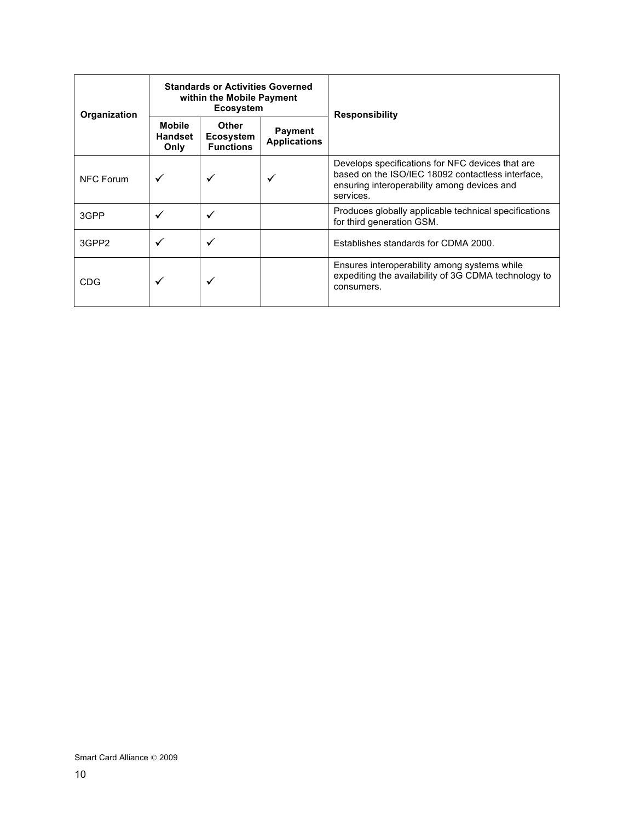| Organization | <b>Standards or Activities Governed</b><br>within the Mobile Payment<br><b>Ecosystem</b> |                                                      |                                       | <b>Responsibility</b>                                                                                                                                             |
|--------------|------------------------------------------------------------------------------------------|------------------------------------------------------|---------------------------------------|-------------------------------------------------------------------------------------------------------------------------------------------------------------------|
|              | <b>Mobile</b><br>Handset<br>Only                                                         | <b>Other</b><br><b>Ecosystem</b><br><b>Functions</b> | <b>Payment</b><br><b>Applications</b> |                                                                                                                                                                   |
| NFC Forum    |                                                                                          |                                                      |                                       | Develops specifications for NFC devices that are<br>based on the ISO/IEC 18092 contactless interface.<br>ensuring interoperability among devices and<br>services. |
| 3GPP         |                                                                                          |                                                      |                                       | Produces globally applicable technical specifications<br>for third generation GSM.                                                                                |
| 3GPP2        |                                                                                          |                                                      |                                       | Establishes standards for CDMA 2000.                                                                                                                              |
| CDG          | ✓                                                                                        |                                                      |                                       | Ensures interoperability among systems while<br>expediting the availability of 3G CDMA technology to<br>consumers.                                                |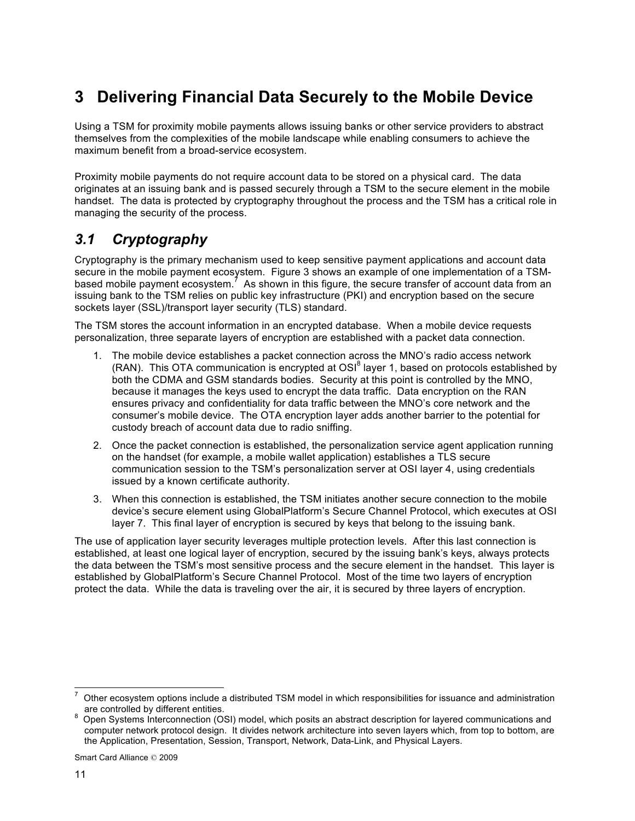# **3 Delivering Financial Data Securely to the Mobile Device**

Using a TSM for proximity mobile payments allows issuing banks or other service providers to abstract themselves from the complexities of the mobile landscape while enabling consumers to achieve the maximum benefit from a broad-service ecosystem.

Proximity mobile payments do not require account data to be stored on a physical card. The data originates at an issuing bank and is passed securely through a TSM to the secure element in the mobile handset. The data is protected by cryptography throughout the process and the TSM has a critical role in managing the security of the process.

## *3.1 Cryptography*

Cryptography is the primary mechanism used to keep sensitive payment applications and account data secure in the mobile payment ecosystem. Figure 3 shows an example of one implementation of a TSMbased mobile payment ecosystem.<sup>7</sup> As shown in this figure, the secure transfer of account data from an issuing bank to the TSM relies on public key infrastructure (PKI) and encryption based on the secure sockets layer (SSL)/transport layer security (TLS) standard.

The TSM stores the account information in an encrypted database. When a mobile device requests personalization, three separate layers of encryption are established with a packet data connection.

- 1. The mobile device establishes a packet connection across the MNO's radio access network (RAN). This OTA communication is encrypted at OSI $^8$  layer 1, based on protocols established by both the CDMA and GSM standards bodies. Security at this point is controlled by the MNO, because it manages the keys used to encrypt the data traffic. Data encryption on the RAN ensures privacy and confidentiality for data traffic between the MNO's core network and the consumer's mobile device. The OTA encryption layer adds another barrier to the potential for custody breach of account data due to radio sniffing.
- 2. Once the packet connection is established, the personalization service agent application running on the handset (for example, a mobile wallet application) establishes a TLS secure communication session to the TSM's personalization server at OSI layer 4, using credentials issued by a known certificate authority.
- 3. When this connection is established, the TSM initiates another secure connection to the mobile device's secure element using GlobalPlatform's Secure Channel Protocol, which executes at OSI layer 7. This final layer of encryption is secured by keys that belong to the issuing bank.

The use of application layer security leverages multiple protection levels. After this last connection is established, at least one logical layer of encryption, secured by the issuing bank's keys, always protects the data between the TSM's most sensitive process and the secure element in the handset. This layer is established by GlobalPlatform's Secure Channel Protocol. Most of the time two layers of encryption protect the data. While the data is traveling over the air, it is secured by three layers of encryption.

 <sup>7</sup> Other ecosystem options include a distributed TSM model in which responsibilities for issuance and administration

are controlled by different entities.<br><sup>8</sup> Open Systems Interconnection (OSI) model, which posits an abstract description for layered communications and computer network protocol design. It divides network architecture into seven layers which, from top to bottom, are the Application, Presentation, Session, Transport, Network, Data-Link, and Physical Layers.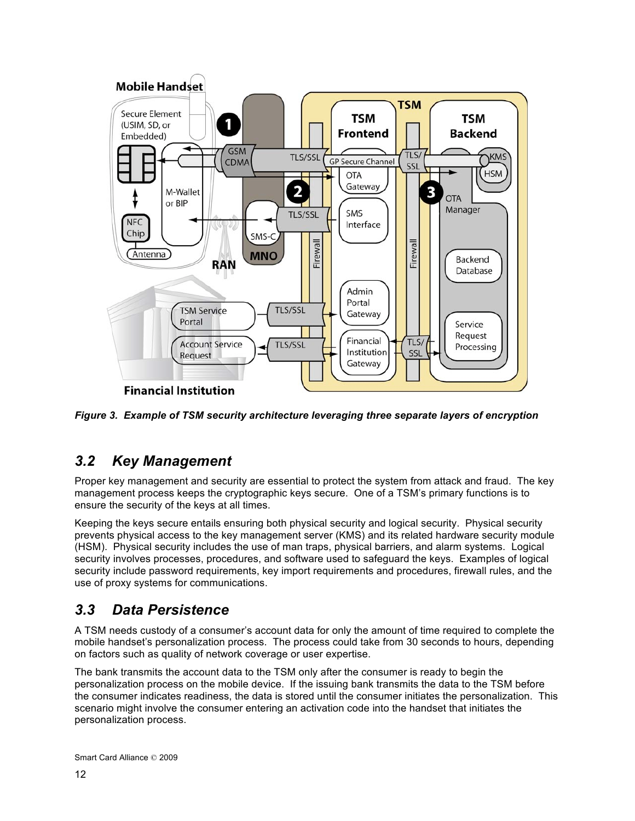

*Figure 3. Example of TSM security architecture leveraging three separate layers of encryption*

### *3.2 Key Management*

Proper key management and security are essential to protect the system from attack and fraud. The key management process keeps the cryptographic keys secure. One of a TSM's primary functions is to ensure the security of the keys at all times.

Keeping the keys secure entails ensuring both physical security and logical security. Physical security prevents physical access to the key management server (KMS) and its related hardware security module (HSM). Physical security includes the use of man traps, physical barriers, and alarm systems. Logical security involves processes, procedures, and software used to safeguard the keys. Examples of logical security include password requirements, key import requirements and procedures, firewall rules, and the use of proxy systems for communications.

### *3.3 Data Persistence*

A TSM needs custody of a consumer's account data for only the amount of time required to complete the mobile handset's personalization process. The process could take from 30 seconds to hours, depending on factors such as quality of network coverage or user expertise.

The bank transmits the account data to the TSM only after the consumer is ready to begin the personalization process on the mobile device. If the issuing bank transmits the data to the TSM before the consumer indicates readiness, the data is stored until the consumer initiates the personalization. This scenario might involve the consumer entering an activation code into the handset that initiates the personalization process.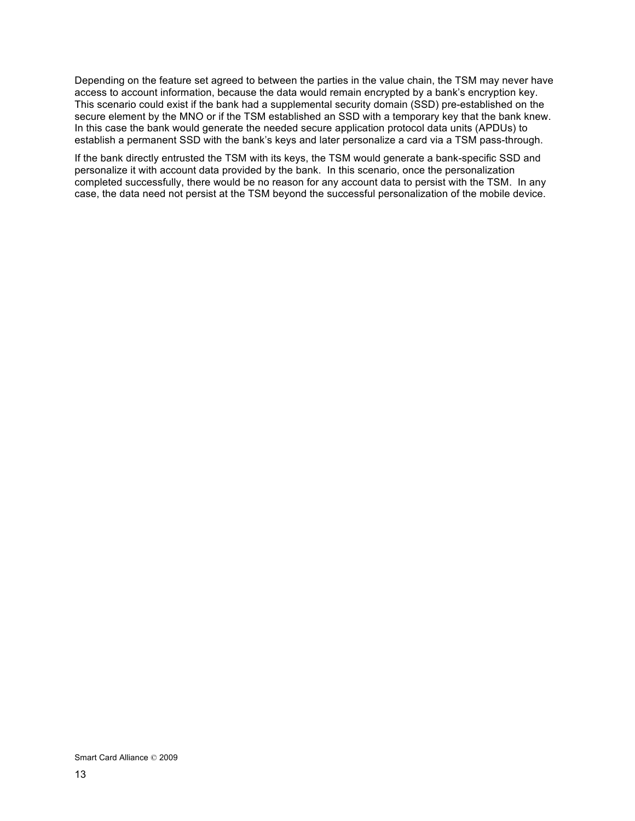Depending on the feature set agreed to between the parties in the value chain, the TSM may never have access to account information, because the data would remain encrypted by a bank's encryption key. This scenario could exist if the bank had a supplemental security domain (SSD) pre-established on the secure element by the MNO or if the TSM established an SSD with a temporary key that the bank knew. In this case the bank would generate the needed secure application protocol data units (APDUs) to establish a permanent SSD with the bank's keys and later personalize a card via a TSM pass-through.

If the bank directly entrusted the TSM with its keys, the TSM would generate a bank-specific SSD and personalize it with account data provided by the bank. In this scenario, once the personalization completed successfully, there would be no reason for any account data to persist with the TSM. In any case, the data need not persist at the TSM beyond the successful personalization of the mobile device.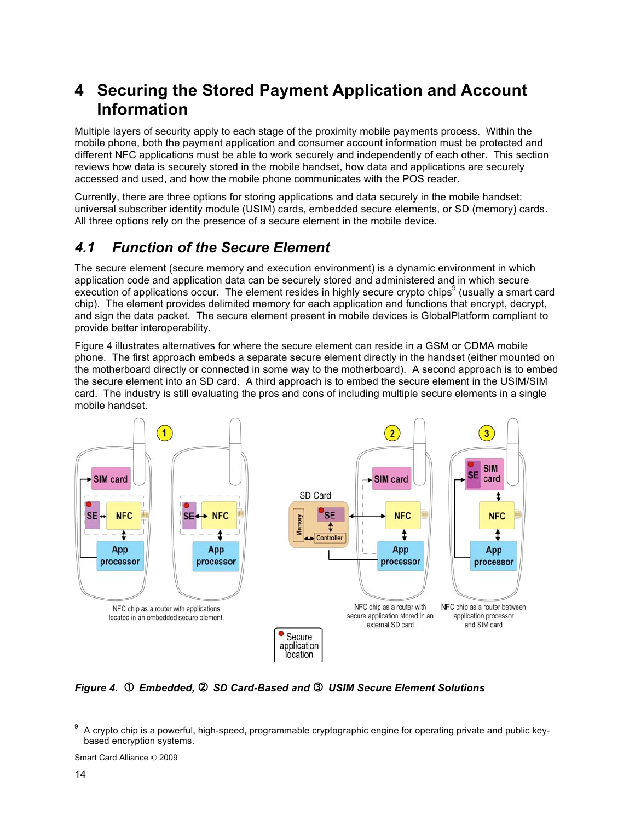# **4 Securing the Stored Payment Application and Account Information**

Multiple layers of security apply to each stage of the proximity mobile payments process. Within the mobile phone, both the payment application and consumer account information must be protected and different NFC applications must be able to work securely and independently of each other. This section reviews how data is securely stored in the mobile handset, how data and applications are securely accessed and used, and how the mobile phone communicates with the POS reader.

Currently, there are three options for storing applications and data securely in the mobile handset: universal subscriber identity module (USIM) cards, embedded secure elements, or SD (memory) cards. All three options rely on the presence of a secure element in the mobile device.

## *4.1 Function of the Secure Element*

The secure element (secure memory and execution environment) is a dynamic environment in which application code and application data can be securely stored and administered and in which secure  $\text{e}^{\cdot}$  execution of applications occur. The element resides in highly secure crypto chips<sup>9</sup> (usually a smart card chip). The element provides delimited memory for each application and functions that encrypt, decrypt, and sign the data packet. The secure element present in mobile devices is GlobalPlatform compliant to provide better interoperability.

Figure 4 illustrates alternatives for where the secure element can reside in a GSM or CDMA mobile phone. The first approach embeds a separate secure element directly in the handset (either mounted on the motherboard directly or connected in some way to the motherboard). A second approach is to embed the secure element into an SD card. A third approach is to embed the secure element in the USIM/SIM card. The industry is still evaluating the pros and cons of including multiple secure elements in a single mobile handset.



*Figure 4. Embedded, SD Card-Based and USIM Secure Element Solutions*

 $9\,$  A crypto chip is a powerful, high-speed, programmable cryptographic engine for operating private and public keybased encryption systems.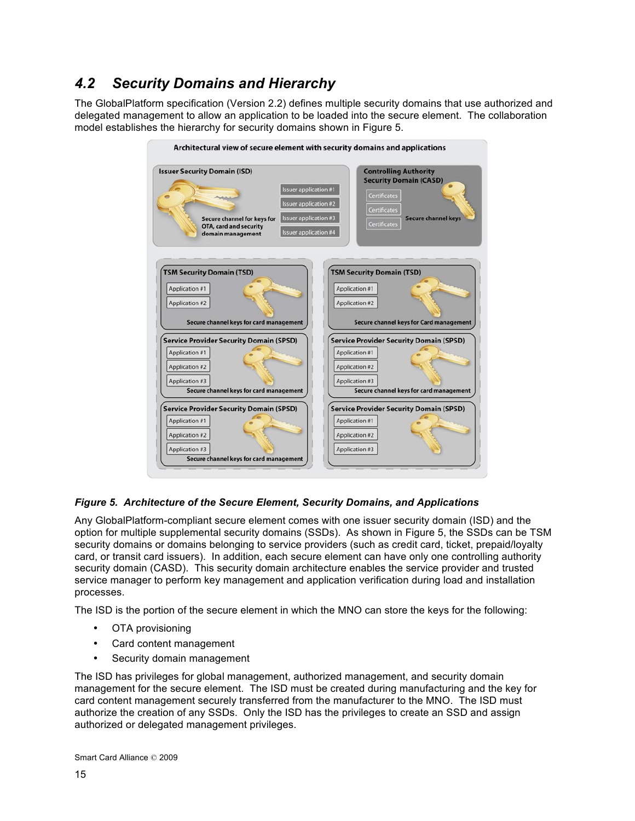# *4.2 Security Domains and Hierarchy*

The GlobalPlatform specification (Version 2.2) defines multiple security domains that use authorized and delegated management to allow an application to be loaded into the secure element. The collaboration model establishes the hierarchy for security domains shown in Figure 5.



### *Figure 5. Architecture of the Secure Element, Security Domains, and Applications*

Any GlobalPlatform-compliant secure element comes with one issuer security domain (ISD) and the option for multiple supplemental security domains (SSDs). As shown in Figure 5, the SSDs can be TSM security domains or domains belonging to service providers (such as credit card, ticket, prepaid/loyalty card, or transit card issuers). In addition, each secure element can have only one controlling authority security domain (CASD). This security domain architecture enables the service provider and trusted service manager to perform key management and application verification during load and installation processes.

The ISD is the portion of the secure element in which the MNO can store the keys for the following:

- OTA provisioning
- Card content management
- Security domain management

The ISD has privileges for global management, authorized management, and security domain management for the secure element. The ISD must be created during manufacturing and the key for card content management securely transferred from the manufacturer to the MNO. The ISD must authorize the creation of any SSDs. Only the ISD has the privileges to create an SSD and assign authorized or delegated management privileges.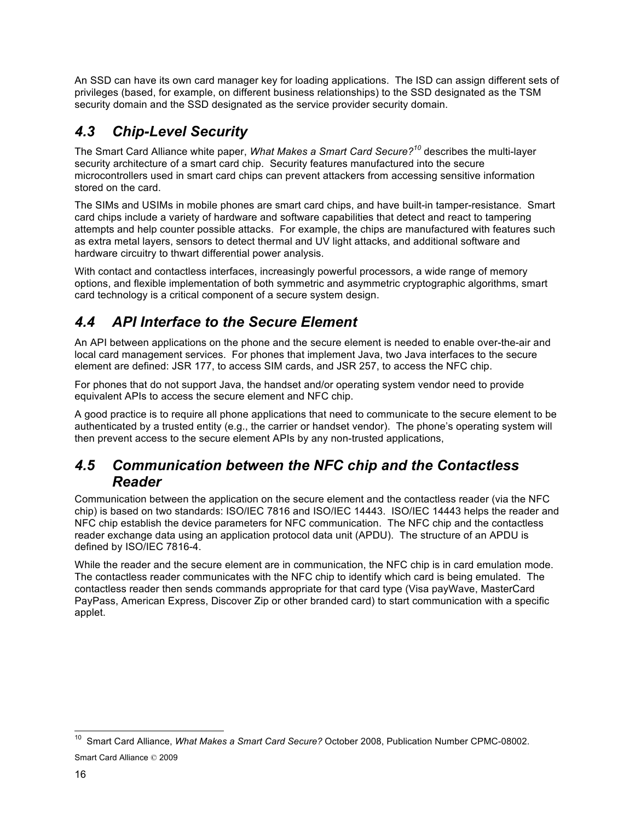An SSD can have its own card manager key for loading applications. The ISD can assign different sets of privileges (based, for example, on different business relationships) to the SSD designated as the TSM security domain and the SSD designated as the service provider security domain.

# *4.3 Chip-Level Security*

The Smart Card Alliance white paper, *What Makes a Smart Card Secure?<sup>10</sup>* describes the multi-layer security architecture of a smart card chip. Security features manufactured into the secure microcontrollers used in smart card chips can prevent attackers from accessing sensitive information stored on the card.

The SIMs and USIMs in mobile phones are smart card chips, and have built-in tamper-resistance. Smart card chips include a variety of hardware and software capabilities that detect and react to tampering attempts and help counter possible attacks. For example, the chips are manufactured with features such as extra metal layers, sensors to detect thermal and UV light attacks, and additional software and hardware circuitry to thwart differential power analysis.

With contact and contactless interfaces, increasingly powerful processors, a wide range of memory options, and flexible implementation of both symmetric and asymmetric cryptographic algorithms, smart card technology is a critical component of a secure system design.

# *4.4 API Interface to the Secure Element*

An API between applications on the phone and the secure element is needed to enable over-the-air and local card management services. For phones that implement Java, two Java interfaces to the secure element are defined: JSR 177, to access SIM cards, and JSR 257, to access the NFC chip.

For phones that do not support Java, the handset and/or operating system vendor need to provide equivalent APIs to access the secure element and NFC chip.

A good practice is to require all phone applications that need to communicate to the secure element to be authenticated by a trusted entity (e.g., the carrier or handset vendor). The phone's operating system will then prevent access to the secure element APIs by any non-trusted applications,

### *4.5 Communication between the NFC chip and the Contactless Reader*

Communication between the application on the secure element and the contactless reader (via the NFC chip) is based on two standards: ISO/IEC 7816 and ISO/IEC 14443. ISO/IEC 14443 helps the reader and NFC chip establish the device parameters for NFC communication. The NFC chip and the contactless reader exchange data using an application protocol data unit (APDU). The structure of an APDU is defined by ISO/IEC 7816-4.

While the reader and the secure element are in communication, the NFC chip is in card emulation mode. The contactless reader communicates with the NFC chip to identify which card is being emulated. The contactless reader then sends commands appropriate for that card type (Visa payWave, MasterCard PayPass, American Express, Discover Zip or other branded card) to start communication with a specific applet.

Smart Card Alliance © 2009 10 Smart Card Alliance, *What Makes a Smart Card Secure?* October 2008, Publication Number CPMC-08002.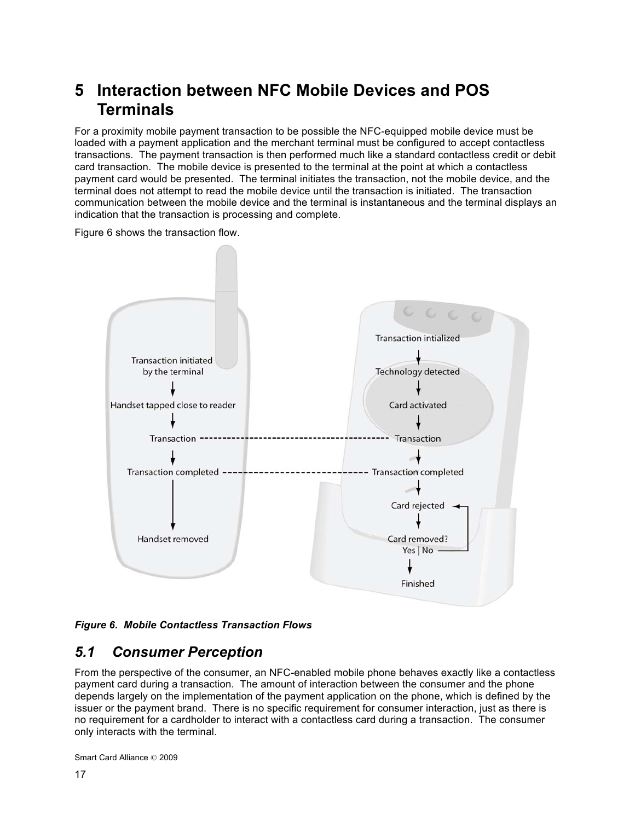# **5 Interaction between NFC Mobile Devices and POS Terminals**

For a proximity mobile payment transaction to be possible the NFC-equipped mobile device must be loaded with a payment application and the merchant terminal must be configured to accept contactless transactions. The payment transaction is then performed much like a standard contactless credit or debit card transaction. The mobile device is presented to the terminal at the point at which a contactless payment card would be presented. The terminal initiates the transaction, not the mobile device, and the terminal does not attempt to read the mobile device until the transaction is initiated. The transaction communication between the mobile device and the terminal is instantaneous and the terminal displays an indication that the transaction is processing and complete.

Figure 6 shows the transaction flow.



### *Figure 6. Mobile Contactless Transaction Flows*

### *5.1 Consumer Perception*

From the perspective of the consumer, an NFC-enabled mobile phone behaves exactly like a contactless payment card during a transaction. The amount of interaction between the consumer and the phone depends largely on the implementation of the payment application on the phone, which is defined by the issuer or the payment brand. There is no specific requirement for consumer interaction, just as there is no requirement for a cardholder to interact with a contactless card during a transaction. The consumer only interacts with the terminal.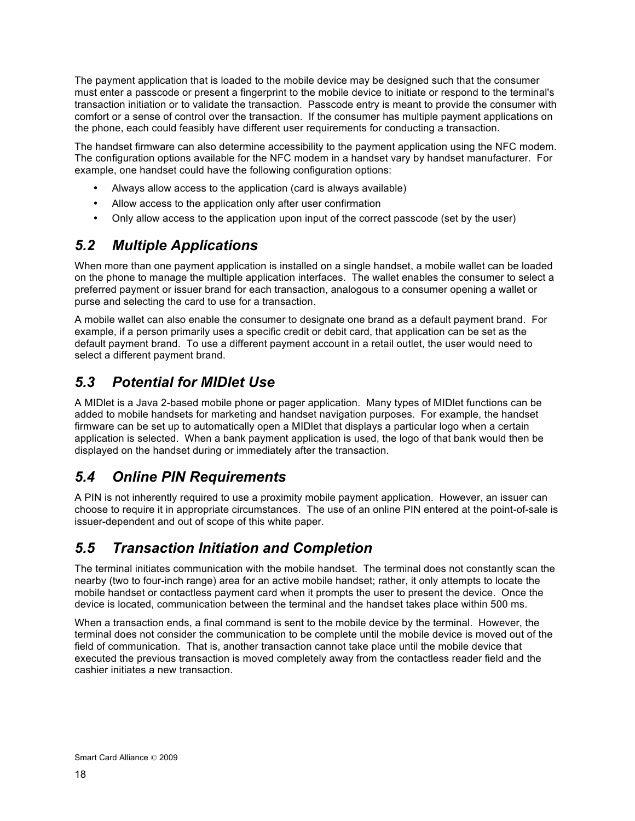The payment application that is loaded to the mobile device may be designed such that the consumer must enter a passcode or present a fingerprint to the mobile device to initiate or respond to the terminal's transaction initiation or to validate the transaction. Passcode entry is meant to provide the consumer with comfort or a sense of control over the transaction. If the consumer has multiple payment applications on the phone, each could feasibly have different user requirements for conducting a transaction.

The handset firmware can also determine accessibility to the payment application using the NFC modem. The configuration options available for the NFC modem in a handset vary by handset manufacturer. For example, one handset could have the following configuration options:

- Always allow access to the application (card is always available)
- Allow access to the application only after user confirmation
- Only allow access to the application upon input of the correct passcode (set by the user)

## *5.2 Multiple Applications*

When more than one payment application is installed on a single handset, a mobile wallet can be loaded on the phone to manage the multiple application interfaces. The wallet enables the consumer to select a preferred payment or issuer brand for each transaction, analogous to a consumer opening a wallet or purse and selecting the card to use for a transaction.

A mobile wallet can also enable the consumer to designate one brand as a default payment brand. For example, if a person primarily uses a specific credit or debit card, that application can be set as the default payment brand. To use a different payment account in a retail outlet, the user would need to select a different payment brand.

## *5.3 Potential for MIDlet Use*

A MIDlet is a Java 2-based mobile phone or pager application. Many types of MIDlet functions can be added to mobile handsets for marketing and handset navigation purposes. For example, the handset firmware can be set up to automatically open a MIDlet that displays a particular logo when a certain application is selected. When a bank payment application is used, the logo of that bank would then be displayed on the handset during or immediately after the transaction.

### *5.4 Online PIN Requirements*

A PIN is not inherently required to use a proximity mobile payment application. However, an issuer can choose to require it in appropriate circumstances. The use of an online PIN entered at the point-of-sale is issuer-dependent and out of scope of this white paper.

### *5.5 Transaction Initiation and Completion*

The terminal initiates communication with the mobile handset. The terminal does not constantly scan the nearby (two to four-inch range) area for an active mobile handset; rather, it only attempts to locate the mobile handset or contactless payment card when it prompts the user to present the device. Once the device is located, communication between the terminal and the handset takes place within 500 ms.

When a transaction ends, a final command is sent to the mobile device by the terminal. However, the terminal does not consider the communication to be complete until the mobile device is moved out of the field of communication. That is, another transaction cannot take place until the mobile device that executed the previous transaction is moved completely away from the contactless reader field and the cashier initiates a new transaction.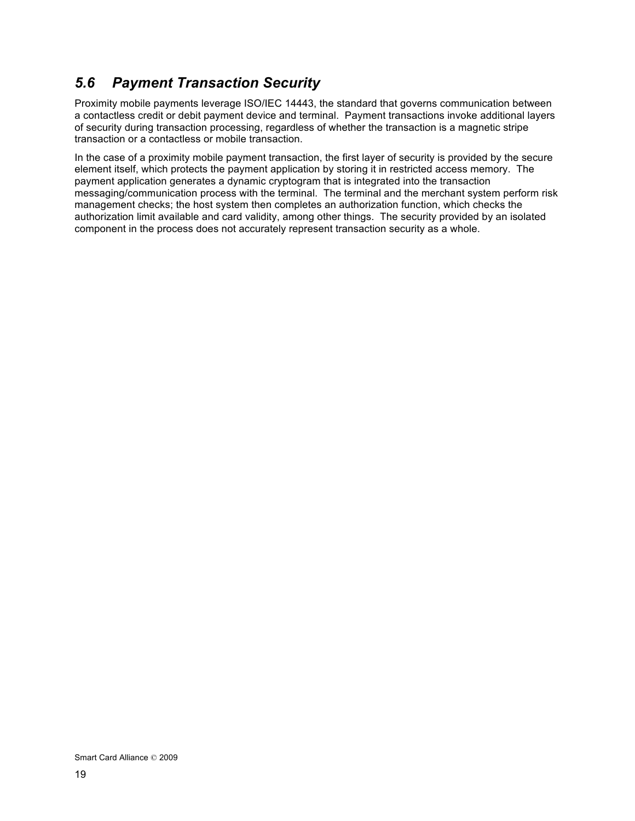## *5.6 Payment Transaction Security*

Proximity mobile payments leverage ISO/IEC 14443, the standard that governs communication between a contactless credit or debit payment device and terminal. Payment transactions invoke additional layers of security during transaction processing, regardless of whether the transaction is a magnetic stripe transaction or a contactless or mobile transaction.

In the case of a proximity mobile payment transaction, the first layer of security is provided by the secure element itself, which protects the payment application by storing it in restricted access memory. The payment application generates a dynamic cryptogram that is integrated into the transaction messaging/communication process with the terminal. The terminal and the merchant system perform risk management checks; the host system then completes an authorization function, which checks the authorization limit available and card validity, among other things. The security provided by an isolated component in the process does not accurately represent transaction security as a whole.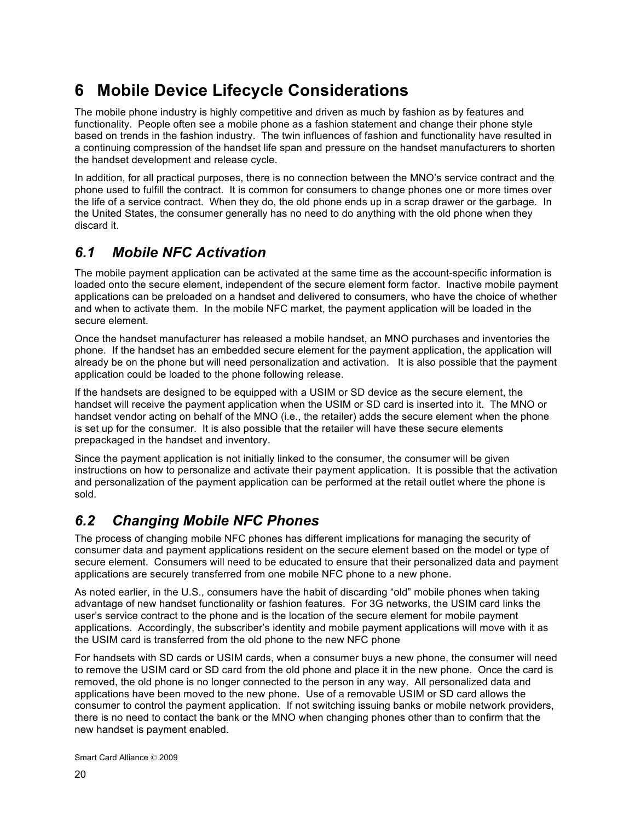# **6 Mobile Device Lifecycle Considerations**

The mobile phone industry is highly competitive and driven as much by fashion as by features and functionality. People often see a mobile phone as a fashion statement and change their phone style based on trends in the fashion industry. The twin influences of fashion and functionality have resulted in a continuing compression of the handset life span and pressure on the handset manufacturers to shorten the handset development and release cycle.

In addition, for all practical purposes, there is no connection between the MNO's service contract and the phone used to fulfill the contract. It is common for consumers to change phones one or more times over the life of a service contract. When they do, the old phone ends up in a scrap drawer or the garbage. In the United States, the consumer generally has no need to do anything with the old phone when they discard it.

## *6.1 Mobile NFC Activation*

The mobile payment application can be activated at the same time as the account-specific information is loaded onto the secure element, independent of the secure element form factor. Inactive mobile payment applications can be preloaded on a handset and delivered to consumers, who have the choice of whether and when to activate them. In the mobile NFC market, the payment application will be loaded in the secure element.

Once the handset manufacturer has released a mobile handset, an MNO purchases and inventories the phone. If the handset has an embedded secure element for the payment application, the application will already be on the phone but will need personalization and activation. It is also possible that the payment application could be loaded to the phone following release.

If the handsets are designed to be equipped with a USIM or SD device as the secure element, the handset will receive the payment application when the USIM or SD card is inserted into it. The MNO or handset vendor acting on behalf of the MNO (i.e., the retailer) adds the secure element when the phone is set up for the consumer. It is also possible that the retailer will have these secure elements prepackaged in the handset and inventory.

Since the payment application is not initially linked to the consumer, the consumer will be given instructions on how to personalize and activate their payment application. It is possible that the activation and personalization of the payment application can be performed at the retail outlet where the phone is sold.

## *6.2 Changing Mobile NFC Phones*

The process of changing mobile NFC phones has different implications for managing the security of consumer data and payment applications resident on the secure element based on the model or type of secure element. Consumers will need to be educated to ensure that their personalized data and payment applications are securely transferred from one mobile NFC phone to a new phone.

As noted earlier, in the U.S., consumers have the habit of discarding "old" mobile phones when taking advantage of new handset functionality or fashion features. For 3G networks, the USIM card links the user's service contract to the phone and is the location of the secure element for mobile payment applications. Accordingly, the subscriber's identity and mobile payment applications will move with it as the USIM card is transferred from the old phone to the new NFC phone

For handsets with SD cards or USIM cards, when a consumer buys a new phone, the consumer will need to remove the USIM card or SD card from the old phone and place it in the new phone. Once the card is removed, the old phone is no longer connected to the person in any way. All personalized data and applications have been moved to the new phone. Use of a removable USIM or SD card allows the consumer to control the payment application. If not switching issuing banks or mobile network providers, there is no need to contact the bank or the MNO when changing phones other than to confirm that the new handset is payment enabled.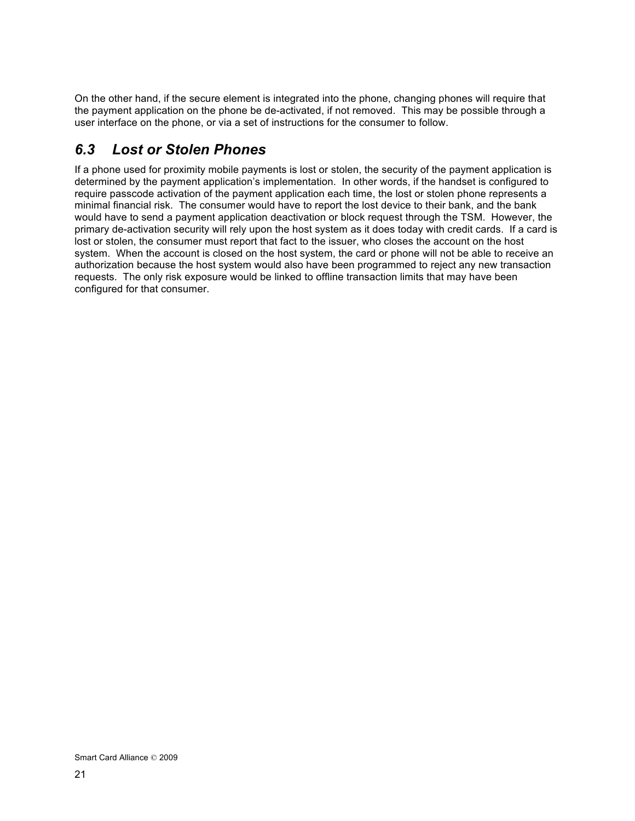On the other hand, if the secure element is integrated into the phone, changing phones will require that the payment application on the phone be de-activated, if not removed. This may be possible through a user interface on the phone, or via a set of instructions for the consumer to follow.

## *6.3 Lost or Stolen Phones*

If a phone used for proximity mobile payments is lost or stolen, the security of the payment application is determined by the payment application's implementation. In other words, if the handset is configured to require passcode activation of the payment application each time, the lost or stolen phone represents a minimal financial risk. The consumer would have to report the lost device to their bank, and the bank would have to send a payment application deactivation or block request through the TSM. However, the primary de-activation security will rely upon the host system as it does today with credit cards. If a card is lost or stolen, the consumer must report that fact to the issuer, who closes the account on the host system. When the account is closed on the host system, the card or phone will not be able to receive an authorization because the host system would also have been programmed to reject any new transaction requests. The only risk exposure would be linked to offline transaction limits that may have been configured for that consumer.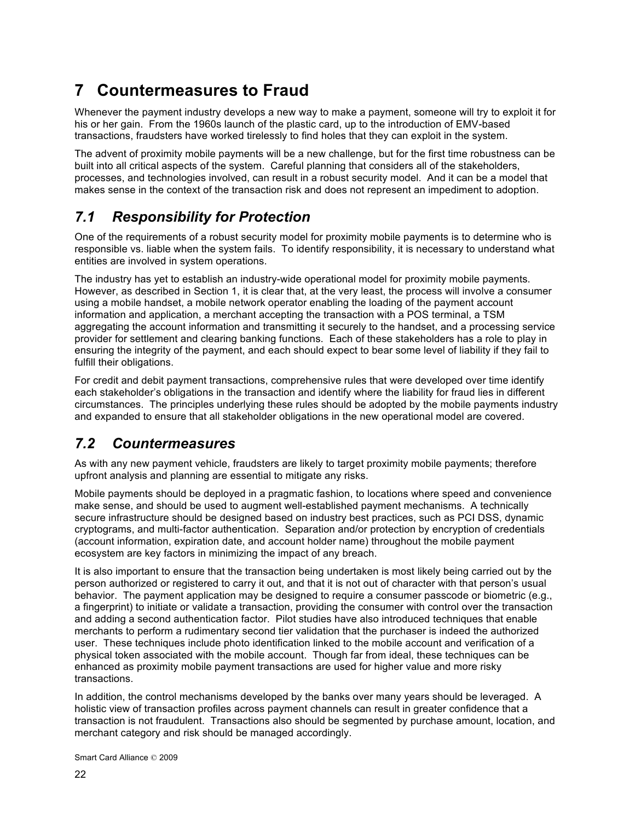# **7 Countermeasures to Fraud**

Whenever the payment industry develops a new way to make a payment, someone will try to exploit it for his or her gain. From the 1960s launch of the plastic card, up to the introduction of EMV-based transactions, fraudsters have worked tirelessly to find holes that they can exploit in the system.

The advent of proximity mobile payments will be a new challenge, but for the first time robustness can be built into all critical aspects of the system. Careful planning that considers all of the stakeholders, processes, and technologies involved, can result in a robust security model. And it can be a model that makes sense in the context of the transaction risk and does not represent an impediment to adoption.

# *7.1 Responsibility for Protection*

One of the requirements of a robust security model for proximity mobile payments is to determine who is responsible vs. liable when the system fails. To identify responsibility, it is necessary to understand what entities are involved in system operations.

The industry has yet to establish an industry-wide operational model for proximity mobile payments. However, as described in Section 1, it is clear that, at the very least, the process will involve a consumer using a mobile handset, a mobile network operator enabling the loading of the payment account information and application, a merchant accepting the transaction with a POS terminal, a TSM aggregating the account information and transmitting it securely to the handset, and a processing service provider for settlement and clearing banking functions. Each of these stakeholders has a role to play in ensuring the integrity of the payment, and each should expect to bear some level of liability if they fail to fulfill their obligations.

For credit and debit payment transactions, comprehensive rules that were developed over time identify each stakeholder's obligations in the transaction and identify where the liability for fraud lies in different circumstances. The principles underlying these rules should be adopted by the mobile payments industry and expanded to ensure that all stakeholder obligations in the new operational model are covered.

## *7.2 Countermeasures*

As with any new payment vehicle, fraudsters are likely to target proximity mobile payments; therefore upfront analysis and planning are essential to mitigate any risks.

Mobile payments should be deployed in a pragmatic fashion, to locations where speed and convenience make sense, and should be used to augment well-established payment mechanisms. A technically secure infrastructure should be designed based on industry best practices, such as PCI DSS, dynamic cryptograms, and multi-factor authentication. Separation and/or protection by encryption of credentials (account information, expiration date, and account holder name) throughout the mobile payment ecosystem are key factors in minimizing the impact of any breach.

It is also important to ensure that the transaction being undertaken is most likely being carried out by the person authorized or registered to carry it out, and that it is not out of character with that person's usual behavior. The payment application may be designed to require a consumer passcode or biometric (e.g., a fingerprint) to initiate or validate a transaction, providing the consumer with control over the transaction and adding a second authentication factor. Pilot studies have also introduced techniques that enable merchants to perform a rudimentary second tier validation that the purchaser is indeed the authorized user. These techniques include photo identification linked to the mobile account and verification of a physical token associated with the mobile account. Though far from ideal, these techniques can be enhanced as proximity mobile payment transactions are used for higher value and more risky transactions.

In addition, the control mechanisms developed by the banks over many years should be leveraged. A holistic view of transaction profiles across payment channels can result in greater confidence that a transaction is not fraudulent. Transactions also should be segmented by purchase amount, location, and merchant category and risk should be managed accordingly.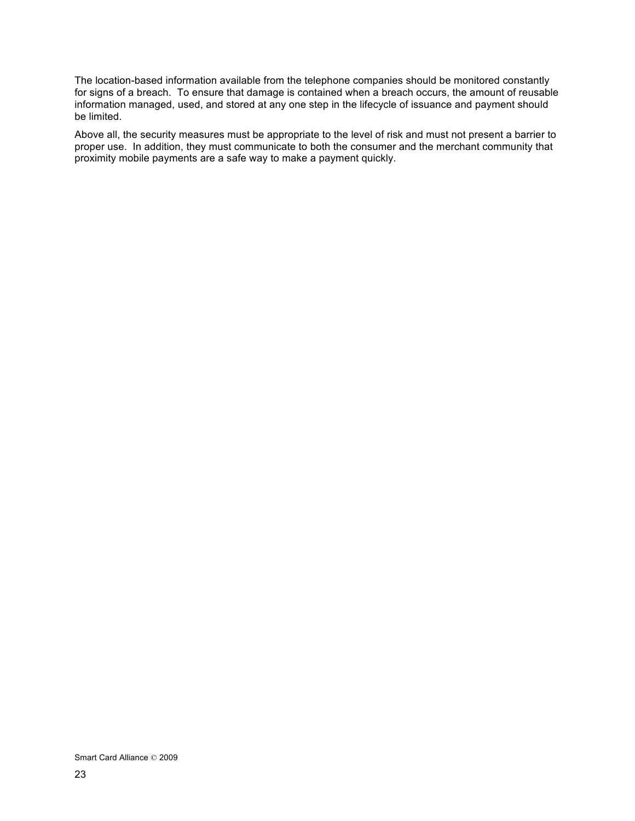The location-based information available from the telephone companies should be monitored constantly for signs of a breach. To ensure that damage is contained when a breach occurs, the amount of reusable information managed, used, and stored at any one step in the lifecycle of issuance and payment should be limited.

Above all, the security measures must be appropriate to the level of risk and must not present a barrier to proper use. In addition, they must communicate to both the consumer and the merchant community that proximity mobile payments are a safe way to make a payment quickly.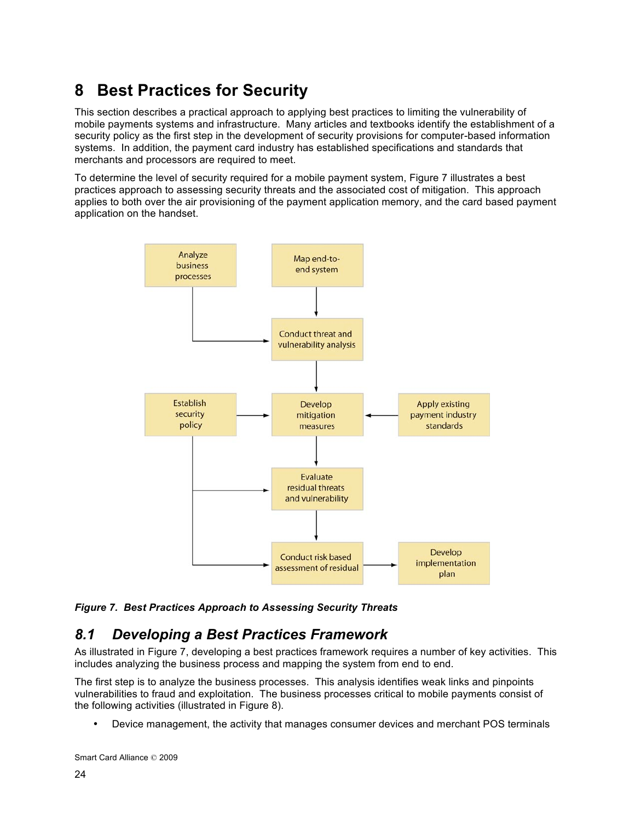# **8 Best Practices for Security**

This section describes a practical approach to applying best practices to limiting the vulnerability of mobile payments systems and infrastructure. Many articles and textbooks identify the establishment of a security policy as the first step in the development of security provisions for computer-based information systems. In addition, the payment card industry has established specifications and standards that merchants and processors are required to meet.

To determine the level of security required for a mobile payment system, Figure 7 illustrates a best practices approach to assessing security threats and the associated cost of mitigation. This approach applies to both over the air provisioning of the payment application memory, and the card based payment application on the handset.



*Figure 7. Best Practices Approach to Assessing Security Threats*

### *8.1 Developing a Best Practices Framework*

As illustrated in Figure 7, developing a best practices framework requires a number of key activities. This includes analyzing the business process and mapping the system from end to end.

The first step is to analyze the business processes. This analysis identifies weak links and pinpoints vulnerabilities to fraud and exploitation. The business processes critical to mobile payments consist of the following activities (illustrated in Figure 8).

• Device management, the activity that manages consumer devices and merchant POS terminals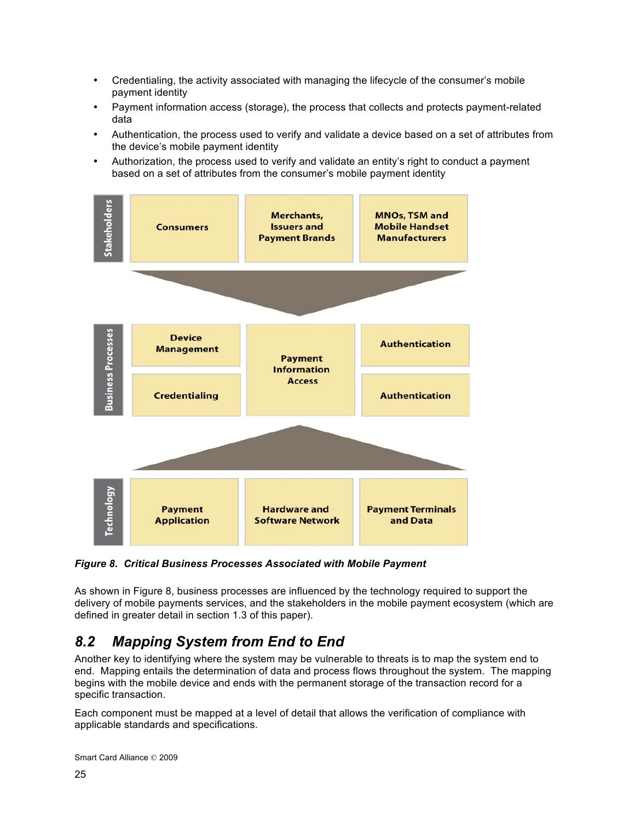- Credentialing, the activity associated with managing the lifecycle of the consumer's mobile payment identity
- Payment information access (storage), the process that collects and protects payment-related data
- Authentication, the process used to verify and validate a device based on a set of attributes from the device's mobile payment identity
- Authorization, the process used to verify and validate an entity's right to conduct a payment based on a set of attributes from the consumer's mobile payment identity



*Figure 8. Critical Business Processes Associated with Mobile Payment*

As shown in Figure 8, business processes are influenced by the technology required to support the delivery of mobile payments services, and the stakeholders in the mobile payment ecosystem (which are defined in greater detail in section 1.3 of this paper).

# *8.2 Mapping System from End to End*

Another key to identifying where the system may be vulnerable to threats is to map the system end to end. Mapping entails the determination of data and process flows throughout the system. The mapping begins with the mobile device and ends with the permanent storage of the transaction record for a specific transaction.

Each component must be mapped at a level of detail that allows the verification of compliance with applicable standards and specifications.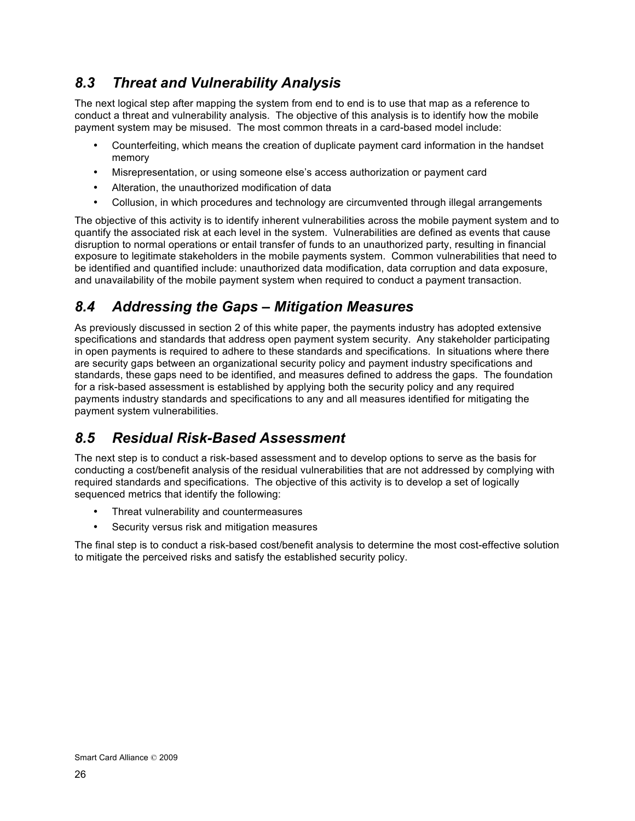## *8.3 Threat and Vulnerability Analysis*

The next logical step after mapping the system from end to end is to use that map as a reference to conduct a threat and vulnerability analysis. The objective of this analysis is to identify how the mobile payment system may be misused. The most common threats in a card-based model include:

- Counterfeiting, which means the creation of duplicate payment card information in the handset memory
- Misrepresentation, or using someone else's access authorization or payment card
- Alteration, the unauthorized modification of data
- Collusion, in which procedures and technology are circumvented through illegal arrangements

The objective of this activity is to identify inherent vulnerabilities across the mobile payment system and to quantify the associated risk at each level in the system. Vulnerabilities are defined as events that cause disruption to normal operations or entail transfer of funds to an unauthorized party, resulting in financial exposure to legitimate stakeholders in the mobile payments system. Common vulnerabilities that need to be identified and quantified include: unauthorized data modification, data corruption and data exposure, and unavailability of the mobile payment system when required to conduct a payment transaction.

## *8.4 Addressing the Gaps – Mitigation Measures*

As previously discussed in section 2 of this white paper, the payments industry has adopted extensive specifications and standards that address open payment system security. Any stakeholder participating in open payments is required to adhere to these standards and specifications. In situations where there are security gaps between an organizational security policy and payment industry specifications and standards, these gaps need to be identified, and measures defined to address the gaps. The foundation for a risk-based assessment is established by applying both the security policy and any required payments industry standards and specifications to any and all measures identified for mitigating the payment system vulnerabilities.

### *8.5 Residual Risk-Based Assessment*

The next step is to conduct a risk-based assessment and to develop options to serve as the basis for conducting a cost/benefit analysis of the residual vulnerabilities that are not addressed by complying with required standards and specifications. The objective of this activity is to develop a set of logically sequenced metrics that identify the following:

- Threat vulnerability and countermeasures
- Security versus risk and mitigation measures

The final step is to conduct a risk-based cost/benefit analysis to determine the most cost-effective solution to mitigate the perceived risks and satisfy the established security policy.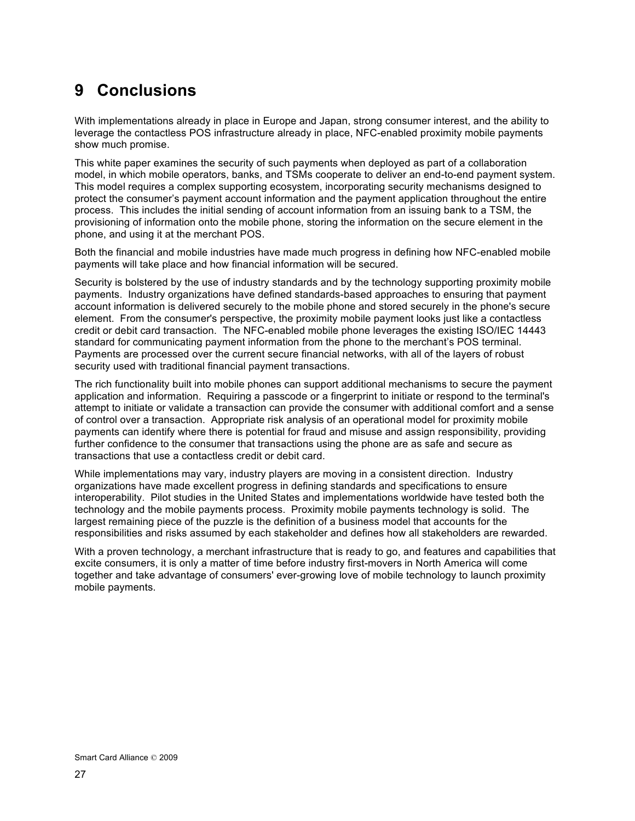# **9 Conclusions**

With implementations already in place in Europe and Japan, strong consumer interest, and the ability to leverage the contactless POS infrastructure already in place, NFC-enabled proximity mobile payments show much promise.

This white paper examines the security of such payments when deployed as part of a collaboration model, in which mobile operators, banks, and TSMs cooperate to deliver an end-to-end payment system. This model requires a complex supporting ecosystem, incorporating security mechanisms designed to protect the consumer's payment account information and the payment application throughout the entire process. This includes the initial sending of account information from an issuing bank to a TSM, the provisioning of information onto the mobile phone, storing the information on the secure element in the phone, and using it at the merchant POS.

Both the financial and mobile industries have made much progress in defining how NFC-enabled mobile payments will take place and how financial information will be secured.

Security is bolstered by the use of industry standards and by the technology supporting proximity mobile payments. Industry organizations have defined standards-based approaches to ensuring that payment account information is delivered securely to the mobile phone and stored securely in the phone's secure element. From the consumer's perspective, the proximity mobile payment looks just like a contactless credit or debit card transaction. The NFC-enabled mobile phone leverages the existing ISO/IEC 14443 standard for communicating payment information from the phone to the merchant's POS terminal. Payments are processed over the current secure financial networks, with all of the layers of robust security used with traditional financial payment transactions.

The rich functionality built into mobile phones can support additional mechanisms to secure the payment application and information. Requiring a passcode or a fingerprint to initiate or respond to the terminal's attempt to initiate or validate a transaction can provide the consumer with additional comfort and a sense of control over a transaction. Appropriate risk analysis of an operational model for proximity mobile payments can identify where there is potential for fraud and misuse and assign responsibility, providing further confidence to the consumer that transactions using the phone are as safe and secure as transactions that use a contactless credit or debit card.

While implementations may vary, industry players are moving in a consistent direction. Industry organizations have made excellent progress in defining standards and specifications to ensure interoperability. Pilot studies in the United States and implementations worldwide have tested both the technology and the mobile payments process. Proximity mobile payments technology is solid. The largest remaining piece of the puzzle is the definition of a business model that accounts for the responsibilities and risks assumed by each stakeholder and defines how all stakeholders are rewarded.

With a proven technology, a merchant infrastructure that is ready to go, and features and capabilities that excite consumers, it is only a matter of time before industry first-movers in North America will come together and take advantage of consumers' ever-growing love of mobile technology to launch proximity mobile payments.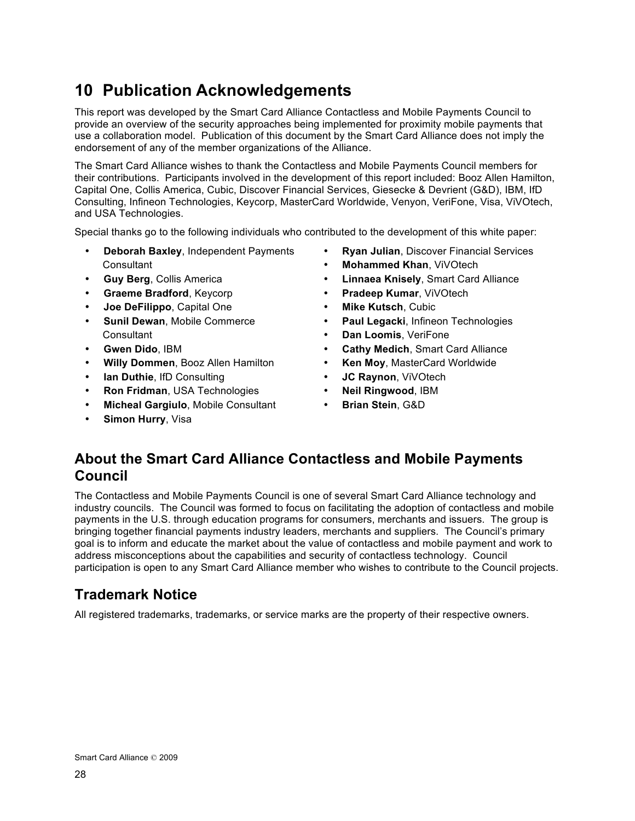# **10 Publication Acknowledgements**

This report was developed by the Smart Card Alliance Contactless and Mobile Payments Council to provide an overview of the security approaches being implemented for proximity mobile payments that use a collaboration model. Publication of this document by the Smart Card Alliance does not imply the endorsement of any of the member organizations of the Alliance.

The Smart Card Alliance wishes to thank the Contactless and Mobile Payments Council members for their contributions. Participants involved in the development of this report included: Booz Allen Hamilton, Capital One, Collis America, Cubic, Discover Financial Services, Giesecke & Devrient (G&D), IBM, IfD Consulting, Infineon Technologies, Keycorp, MasterCard Worldwide, Venyon, VeriFone, Visa, ViVOtech, and USA Technologies.

Special thanks go to the following individuals who contributed to the development of this white paper:

- Consultant **Mohammed Khan**, ViVOtech
- 
- 
- **Joe DeFilippo**, Capital One **Mike Kutsch**, Cubic
- **Consultant Dan Loomis, VeriFone**
- 
- **Willy Dommen**, Booz Allen Hamilton **Ken Moy**, MasterCard Worldwide
- **Ian Duthie**, IfD Consulting  **JC Raynon**, ViVOtech
- **Ron Fridman**, USA Technologies **Neil Ringwood**, IBM
- **Micheal Gargiulo**, Mobile Consultant **Brian Stein**, G&D
- **Simon Hurry**, Visa
- **Deborah Baxley**, Independent Payments **Ryan Julian**, Discover Financial Services
	-
- **Guy Berg**, Collis America **Linnaea Knisely**, Smart Card Alliance
- **Graeme Bradford**, Keycorp **Pradeep Kumar**, ViVOtech
	-
- **Sunil Dewan**, Mobile Commerce **Paul Legacki**, Infineon Technologies
	-
- **Gwen Dido**, IBM **Cathy Medich**, Smart Card Alliance
	-
	-
	-
	-

### **About the Smart Card Alliance Contactless and Mobile Payments Council**

The Contactless and Mobile Payments Council is one of several Smart Card Alliance technology and industry councils. The Council was formed to focus on facilitating the adoption of contactless and mobile payments in the U.S. through education programs for consumers, merchants and issuers. The group is bringing together financial payments industry leaders, merchants and suppliers. The Council's primary goal is to inform and educate the market about the value of contactless and mobile payment and work to address misconceptions about the capabilities and security of contactless technology. Council participation is open to any Smart Card Alliance member who wishes to contribute to the Council projects.

## **Trademark Notice**

All registered trademarks, trademarks, or service marks are the property of their respective owners.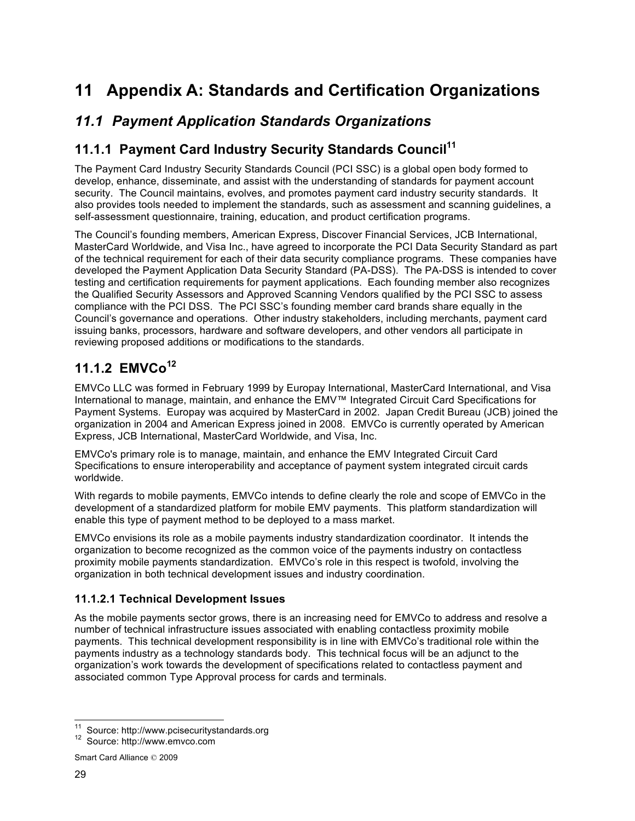# **11 Appendix A: Standards and Certification Organizations**

### *11.1 Payment Application Standards Organizations*

### **11.1.1 Payment Card Industry Security Standards Council<sup>11</sup>**

The Payment Card Industry Security Standards Council (PCI SSC) is a global open body formed to develop, enhance, disseminate, and assist with the understanding of standards for payment account security. The Council maintains, evolves, and promotes payment card industry security standards. It also provides tools needed to implement the standards, such as assessment and scanning guidelines, a self-assessment questionnaire, training, education, and product certification programs.

The Council's founding members, American Express, Discover Financial Services, JCB International, MasterCard Worldwide, and Visa Inc., have agreed to incorporate the PCI Data Security Standard as part of the technical requirement for each of their data security compliance programs. These companies have developed the Payment Application Data Security Standard (PA-DSS). The PA-DSS is intended to cover testing and certification requirements for payment applications. Each founding member also recognizes the Qualified Security Assessors and Approved Scanning Vendors qualified by the PCI SSC to assess compliance with the PCI DSS. The PCI SSC's founding member card brands share equally in the Council's governance and operations. Other industry stakeholders, including merchants, payment card issuing banks, processors, hardware and software developers, and other vendors all participate in reviewing proposed additions or modifications to the standards.

### **11.1.2 EMVCo<sup>12</sup>**

EMVCo LLC was formed in February 1999 by Europay International, MasterCard International, and Visa International to manage, maintain, and enhance the EMV™ Integrated Circuit Card Specifications for Payment Systems. Europay was acquired by MasterCard in 2002. Japan Credit Bureau (JCB) joined the organization in 2004 and American Express joined in 2008. EMVCo is currently operated by American Express, JCB International, MasterCard Worldwide, and Visa, Inc.

EMVCo's primary role is to manage, maintain, and enhance the EMV Integrated Circuit Card Specifications to ensure interoperability and acceptance of payment system integrated circuit cards worldwide.

With regards to mobile payments, EMVCo intends to define clearly the role and scope of EMVCo in the development of a standardized platform for mobile EMV payments. This platform standardization will enable this type of payment method to be deployed to a mass market.

EMVCo envisions its role as a mobile payments industry standardization coordinator. It intends the organization to become recognized as the common voice of the payments industry on contactless proximity mobile payments standardization. EMVCo's role in this respect is twofold, involving the organization in both technical development issues and industry coordination.

### **11.1.2.1 Technical Development Issues**

As the mobile payments sector grows, there is an increasing need for EMVCo to address and resolve a number of technical infrastructure issues associated with enabling contactless proximity mobile payments. This technical development responsibility is in line with EMVCo's traditional role within the payments industry as a technology standards body. This technical focus will be an adjunct to the organization's work towards the development of specifications related to contactless payment and associated common Type Approval process for cards and terminals.

<sup>&</sup>lt;sup>11</sup> Source: http://www.pcisecuritystandards.org  $12$  Source: http://www.emvco.com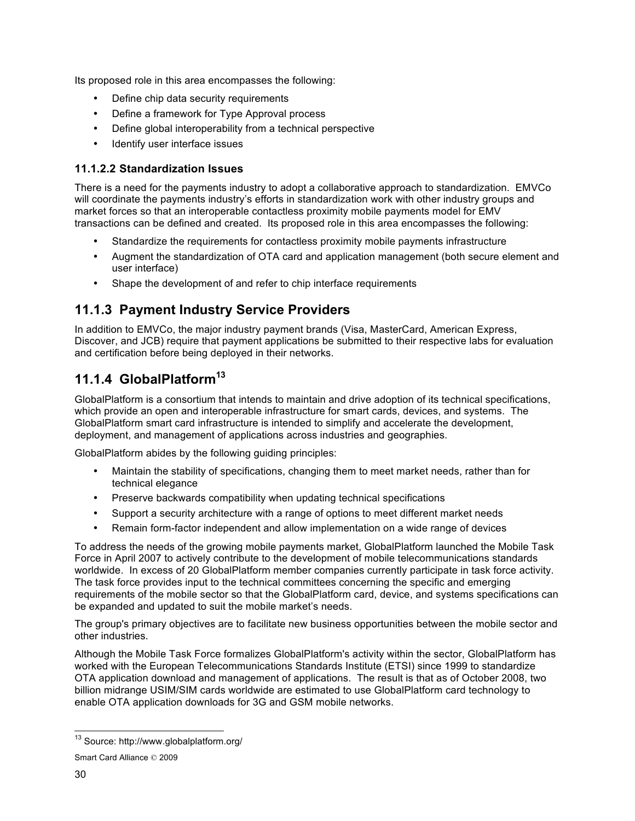Its proposed role in this area encompasses the following:

- Define chip data security requirements
- Define a framework for Type Approval process
- Define global interoperability from a technical perspective
- Identify user interface issues

### **11.1.2.2 Standardization Issues**

There is a need for the payments industry to adopt a collaborative approach to standardization. EMVCo will coordinate the payments industry's efforts in standardization work with other industry groups and market forces so that an interoperable contactless proximity mobile payments model for EMV transactions can be defined and created. Its proposed role in this area encompasses the following:

- Standardize the requirements for contactless proximity mobile payments infrastructure
- Augment the standardization of OTA card and application management (both secure element and user interface)
- Shape the development of and refer to chip interface requirements

### **11.1.3 Payment Industry Service Providers**

In addition to EMVCo, the major industry payment brands (Visa, MasterCard, American Express, Discover, and JCB) require that payment applications be submitted to their respective labs for evaluation and certification before being deployed in their networks.

### **11.1.4 GlobalPlatform13**

GlobalPlatform is a consortium that intends to maintain and drive adoption of its technical specifications, which provide an open and interoperable infrastructure for smart cards, devices, and systems. The GlobalPlatform smart card infrastructure is intended to simplify and accelerate the development, deployment, and management of applications across industries and geographies.

GlobalPlatform abides by the following guiding principles:

- Maintain the stability of specifications, changing them to meet market needs, rather than for technical elegance
- Preserve backwards compatibility when updating technical specifications
- Support a security architecture with a range of options to meet different market needs
- Remain form-factor independent and allow implementation on a wide range of devices

To address the needs of the growing mobile payments market, GlobalPlatform launched the Mobile Task Force in April 2007 to actively contribute to the development of mobile telecommunications standards worldwide. In excess of 20 GlobalPlatform member companies currently participate in task force activity. The task force provides input to the technical committees concerning the specific and emerging requirements of the mobile sector so that the GlobalPlatform card, device, and systems specifications can be expanded and updated to suit the mobile market's needs.

The group's primary objectives are to facilitate new business opportunities between the mobile sector and other industries.

Although the Mobile Task Force formalizes GlobalPlatform's activity within the sector, GlobalPlatform has worked with the European Telecommunications Standards Institute (ETSI) since 1999 to standardize OTA application download and management of applications. The result is that as of October 2008, two billion midrange USIM/SIM cards worldwide are estimated to use GlobalPlatform card technology to enable OTA application downloads for 3G and GSM mobile networks.

 <sup>13</sup> Source: http://www.globalplatform.org/

Smart Card Alliance © 2009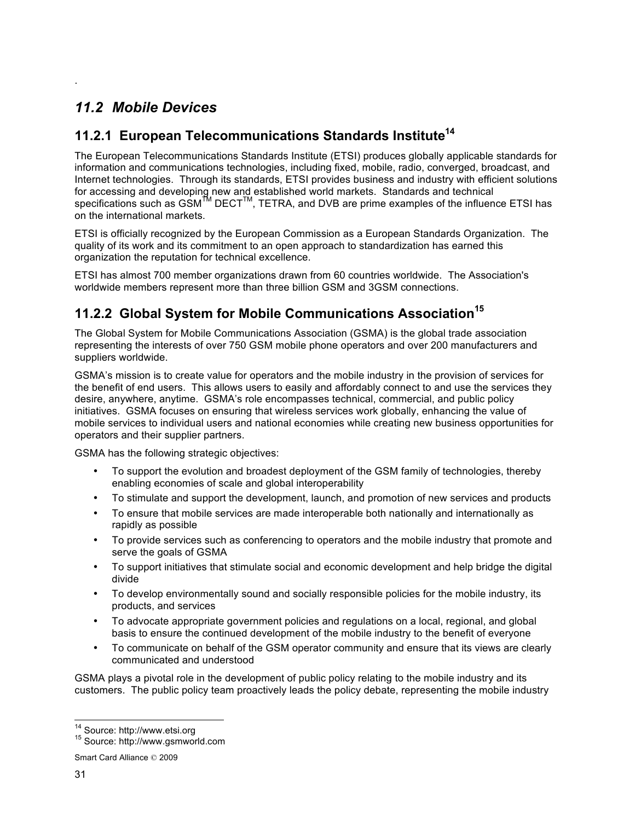## *11.2 Mobile Devices*

.

### 11.2.1 European Telecommunications Standards Institute<sup>14</sup>

The European Telecommunications Standards Institute (ETSI) produces globally applicable standards for information and communications technologies, including fixed, mobile, radio, converged, broadcast, and Internet technologies. Through its standards, ETSI provides business and industry with efficient solutions for accessing and developing new and established world markets. Standards and technical specifications such as  $\text{GSM}^{\textsf{TM}}$  DECT<sup>TM</sup>, TETRA, and DVB are prime examples of the influence ETSI has on the international markets.

ETSI is officially recognized by the European Commission as a European Standards Organization. The quality of its work and its commitment to an open approach to standardization has earned this organization the reputation for technical excellence.

ETSI has almost 700 member organizations drawn from 60 countries worldwide. The Association's worldwide members represent more than three billion GSM and 3GSM connections.

### **11.2.2 Global System for Mobile Communications Association<sup>15</sup>**

The Global System for Mobile Communications Association (GSMA) is the global trade association representing the interests of over 750 GSM mobile phone operators and over 200 manufacturers and suppliers worldwide.

GSMA's mission is to create value for operators and the mobile industry in the provision of services for the benefit of end users. This allows users to easily and affordably connect to and use the services they desire, anywhere, anytime. GSMA's role encompasses technical, commercial, and public policy initiatives. GSMA focuses on ensuring that wireless services work globally, enhancing the value of mobile services to individual users and national economies while creating new business opportunities for operators and their supplier partners.

GSMA has the following strategic objectives:

- To support the evolution and broadest deployment of the GSM family of technologies, thereby enabling economies of scale and global interoperability
- To stimulate and support the development, launch, and promotion of new services and products
- To ensure that mobile services are made interoperable both nationally and internationally as rapidly as possible
- To provide services such as conferencing to operators and the mobile industry that promote and serve the goals of GSMA
- To support initiatives that stimulate social and economic development and help bridge the digital divide
- To develop environmentally sound and socially responsible policies for the mobile industry, its products, and services
- To advocate appropriate government policies and regulations on a local, regional, and global basis to ensure the continued development of the mobile industry to the benefit of everyone
- To communicate on behalf of the GSM operator community and ensure that its views are clearly communicated and understood

GSMA plays a pivotal role in the development of public policy relating to the mobile industry and its customers. The public policy team proactively leads the policy debate, representing the mobile industry

 $14$  Source: http://www.etsi.org<br> $15$  Source: http://www.gsmworld.com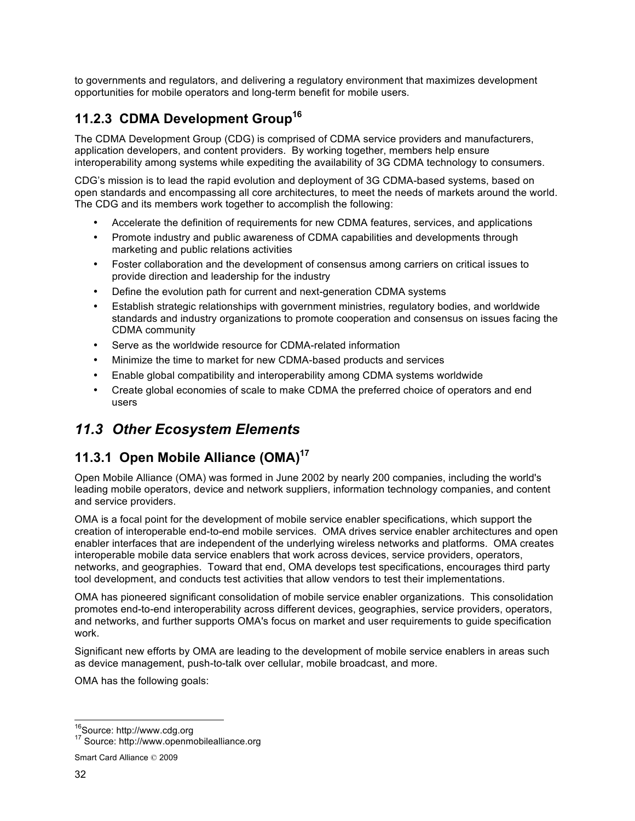to governments and regulators, and delivering a regulatory environment that maximizes development opportunities for mobile operators and long-term benefit for mobile users.

## **11.2.3 CDMA Development Group16**

The CDMA Development Group (CDG) is comprised of CDMA service providers and manufacturers, application developers, and content providers. By working together, members help ensure interoperability among systems while expediting the availability of 3G CDMA technology to consumers.

CDG's mission is to lead the rapid evolution and deployment of 3G CDMA-based systems, based on open standards and encompassing all core architectures, to meet the needs of markets around the world. The CDG and its members work together to accomplish the following:

- Accelerate the definition of requirements for new CDMA features, services, and applications
- Promote industry and public awareness of CDMA capabilities and developments through marketing and public relations activities
- Foster collaboration and the development of consensus among carriers on critical issues to provide direction and leadership for the industry
- Define the evolution path for current and next-generation CDMA systems
- Establish strategic relationships with government ministries, regulatory bodies, and worldwide standards and industry organizations to promote cooperation and consensus on issues facing the CDMA community
- Serve as the worldwide resource for CDMA-related information
- Minimize the time to market for new CDMA-based products and services
- Enable global compatibility and interoperability among CDMA systems worldwide
- Create global economies of scale to make CDMA the preferred choice of operators and end users

## *11.3 Other Ecosystem Elements*

### **11.3.1 Open Mobile Alliance (OMA)17**

Open Mobile Alliance (OMA) was formed in June 2002 by nearly 200 companies, including the world's leading mobile operators, device and network suppliers, information technology companies, and content and service providers.

OMA is a focal point for the development of mobile service enabler specifications, which support the creation of interoperable end-to-end mobile services. OMA drives service enabler architectures and open enabler interfaces that are independent of the underlying wireless networks and platforms. OMA creates interoperable mobile data service enablers that work across devices, service providers, operators, networks, and geographies. Toward that end, OMA develops test specifications, encourages third party tool development, and conducts test activities that allow vendors to test their implementations.

OMA has pioneered significant consolidation of mobile service enabler organizations. This consolidation promotes end-to-end interoperability across different devices, geographies, service providers, operators, and networks, and further supports OMA's focus on market and user requirements to guide specification work.

Significant new efforts by OMA are leading to the development of mobile service enablers in areas such as device management, push-to-talk over cellular, mobile broadcast, and more.

OMA has the following goals:

<sup>&</sup>lt;sup>16</sup>Source: http://www.cdg.org<br><sup>17</sup> Source: http://www.openmobilealliance.org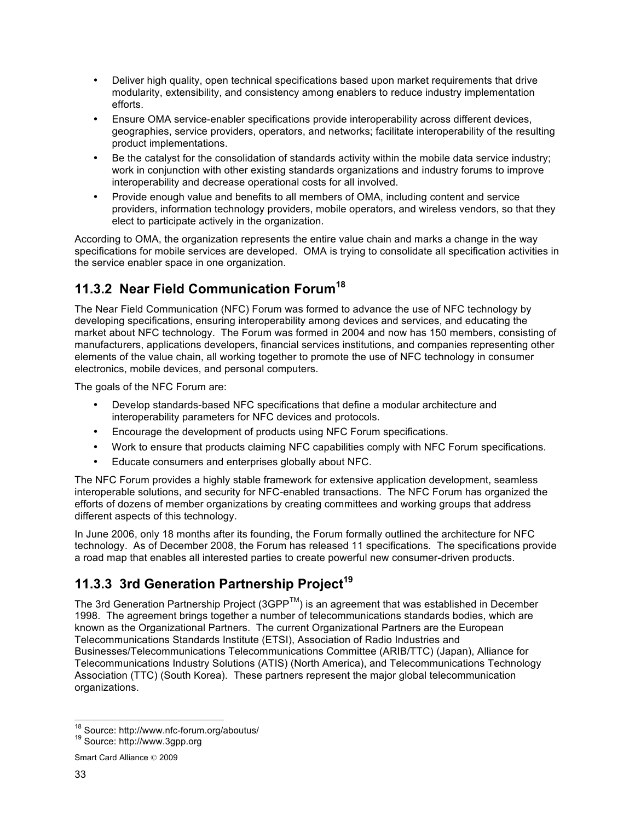- Deliver high quality, open technical specifications based upon market requirements that drive modularity, extensibility, and consistency among enablers to reduce industry implementation efforts.
- Ensure OMA service-enabler specifications provide interoperability across different devices, geographies, service providers, operators, and networks; facilitate interoperability of the resulting product implementations.
- Be the catalyst for the consolidation of standards activity within the mobile data service industry; work in conjunction with other existing standards organizations and industry forums to improve interoperability and decrease operational costs for all involved.
- Provide enough value and benefits to all members of OMA, including content and service providers, information technology providers, mobile operators, and wireless vendors, so that they elect to participate actively in the organization.

According to OMA, the organization represents the entire value chain and marks a change in the way specifications for mobile services are developed. OMA is trying to consolidate all specification activities in the service enabler space in one organization.

## **11.3.2 Near Field Communication Forum<sup>18</sup>**

The Near Field Communication (NFC) Forum was formed to advance the use of NFC technology by developing specifications, ensuring interoperability among devices and services, and educating the market about NFC technology. The Forum was formed in 2004 and now has 150 members, consisting of manufacturers, applications developers, financial services institutions, and companies representing other elements of the value chain, all working together to promote the use of NFC technology in consumer electronics, mobile devices, and personal computers.

The goals of the NFC Forum are:

- Develop standards-based NFC specifications that define a modular architecture and interoperability parameters for NFC devices and protocols.
- Encourage the development of products using NFC Forum specifications.
- Work to ensure that products claiming NFC capabilities comply with NFC Forum specifications.
- Educate consumers and enterprises globally about NFC.

The NFC Forum provides a highly stable framework for extensive application development, seamless interoperable solutions, and security for NFC-enabled transactions. The NFC Forum has organized the efforts of dozens of member organizations by creating committees and working groups that address different aspects of this technology.

In June 2006, only 18 months after its founding, the Forum formally outlined the architecture for NFC technology. As of December 2008, the Forum has released 11 specifications. The specifications provide a road map that enables all interested parties to create powerful new consumer-driven products.

## **11.3.3 3rd Generation Partnership Project<sup>19</sup>**

The 3rd Generation Partnership Project (3GPP $^{TM}$ ) is an agreement that was established in December 1998. The agreement brings together a number of telecommunications standards bodies, which are known as the Organizational Partners. The current Organizational Partners are the European Telecommunications Standards Institute (ETSI), Association of Radio Industries and Businesses/Telecommunications Telecommunications Committee (ARIB/TTC) (Japan), Alliance for Telecommunications Industry Solutions (ATIS) (North America), and Telecommunications Technology Association (TTC) (South Korea). These partners represent the major global telecommunication organizations.

<sup>&</sup>lt;sup>18</sup> Source: http://www.nfc-forum.org/aboutus/<br><sup>19</sup> Source: http://www.3gpp.org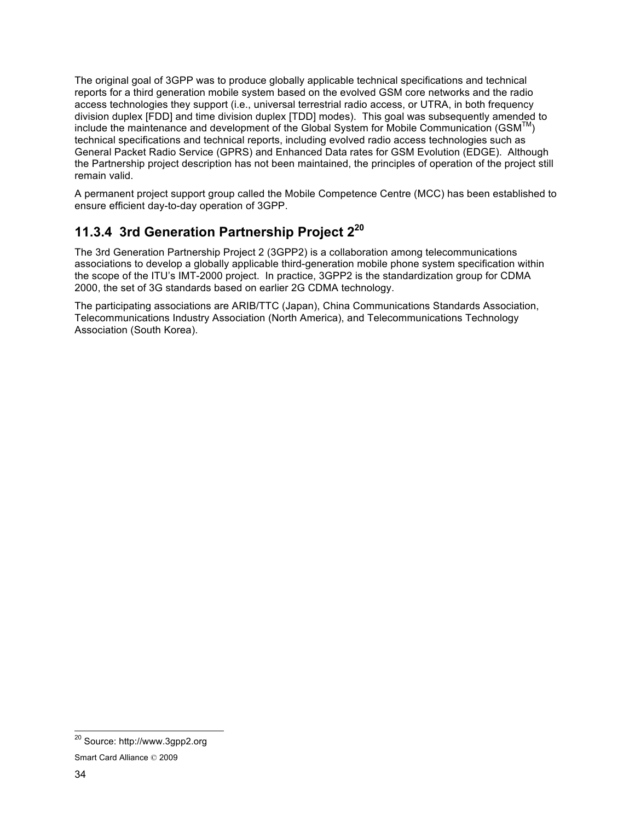The original goal of 3GPP was to produce globally applicable technical specifications and technical reports for a third generation mobile system based on the evolved GSM core networks and the radio access technologies they support (i.e., universal terrestrial radio access, or UTRA, in both frequency division duplex [FDD] and time division duplex [TDD] modes). This goal was subsequently amended to include the maintenance and development of the Global System for Mobile Communication (GSM $^{TM}$ ) technical specifications and technical reports, including evolved radio access technologies such as General Packet Radio Service (GPRS) and Enhanced Data rates for GSM Evolution (EDGE). Although the Partnership project description has not been maintained, the principles of operation of the project still remain valid.

A permanent project support group called the Mobile Competence Centre (MCC) has been established to ensure efficient day-to-day operation of 3GPP.

### **11.3.4 3rd Generation Partnership Project 220**

The 3rd Generation Partnership Project 2 (3GPP2) is a collaboration among telecommunications associations to develop a globally applicable third-generation mobile phone system specification within the scope of the ITU's IMT-2000 project. In practice, 3GPP2 is the standardization group for CDMA 2000, the set of 3G standards based on earlier 2G CDMA technology.

The participating associations are ARIB/TTC (Japan), China Communications Standards Association, Telecommunications Industry Association (North America), and Telecommunications Technology Association (South Korea).

 <sup>20</sup> Source: http://www.3gpp2.org

Smart Card Alliance © 2009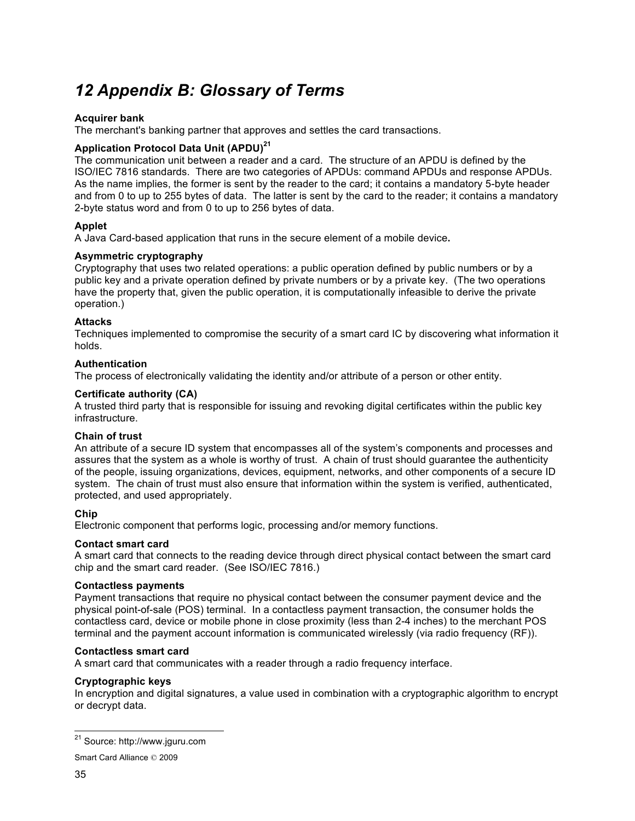# *12 Appendix B: Glossary of Terms*

#### **Acquirer bank**

The merchant's banking partner that approves and settles the card transactions.

### **Application Protocol Data Unit (APDU)<sup>21</sup>**

The communication unit between a reader and a card. The structure of an APDU is defined by the ISO/IEC 7816 standards. There are two categories of APDUs: command APDUs and response APDUs. As the name implies, the former is sent by the reader to the card; it contains a mandatory 5-byte header and from 0 to up to 255 bytes of data. The latter is sent by the card to the reader; it contains a mandatory 2-byte status word and from 0 to up to 256 bytes of data.

#### **Applet**

A Java Card-based application that runs in the secure element of a mobile device**.**

#### **Asymmetric cryptography**

Cryptography that uses two related operations: a public operation defined by public numbers or by a public key and a private operation defined by private numbers or by a private key. (The two operations have the property that, given the public operation, it is computationally infeasible to derive the private operation.)

#### **Attacks**

Techniques implemented to compromise the security of a smart card IC by discovering what information it holds.

#### **Authentication**

The process of electronically validating the identity and/or attribute of a person or other entity.

#### **Certificate authority (CA)**

A trusted third party that is responsible for issuing and revoking digital certificates within the public key infrastructure.

#### **Chain of trust**

An attribute of a secure ID system that encompasses all of the system's components and processes and assures that the system as a whole is worthy of trust. A chain of trust should guarantee the authenticity of the people, issuing organizations, devices, equipment, networks, and other components of a secure ID system. The chain of trust must also ensure that information within the system is verified, authenticated, protected, and used appropriately.

### **Chip**

Electronic component that performs logic, processing and/or memory functions.

#### **Contact smart card**

A smart card that connects to the reading device through direct physical contact between the smart card chip and the smart card reader. (See ISO/IEC 7816.)

#### **Contactless payments**

Payment transactions that require no physical contact between the consumer payment device and the physical point-of-sale (POS) terminal. In a contactless payment transaction, the consumer holds the contactless card, device or mobile phone in close proximity (less than 2-4 inches) to the merchant POS terminal and the payment account information is communicated wirelessly (via radio frequency (RF)).

#### **Contactless smart card**

A smart card that communicates with a reader through a radio frequency interface.

#### **Cryptographic keys**

In encryption and digital signatures, a value used in combination with a cryptographic algorithm to encrypt or decrypt data.

 <sup>21</sup> Source: http://www.jguru.com

Smart Card Alliance © 2009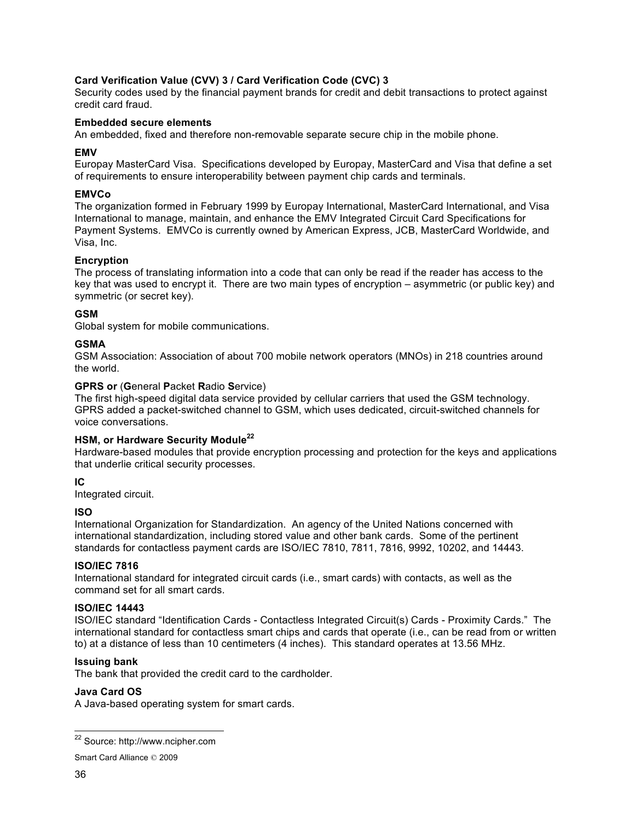### **Card Verification Value (CVV) 3 / Card Verification Code (CVC) 3**

Security codes used by the financial payment brands for credit and debit transactions to protect against credit card fraud.

#### **Embedded secure elements**

An embedded, fixed and therefore non-removable separate secure chip in the mobile phone.

#### **EMV**

Europay MasterCard Visa. Specifications developed by Europay, MasterCard and Visa that define a set of requirements to ensure interoperability between payment chip cards and terminals.

#### **EMVCo**

The organization formed in February 1999 by Europay International, MasterCard International, and Visa International to manage, maintain, and enhance the EMV Integrated Circuit Card Specifications for Payment Systems. EMVCo is currently owned by American Express, JCB, MasterCard Worldwide, and Visa, Inc.

#### **Encryption**

The process of translating information into a code that can only be read if the reader has access to the key that was used to encrypt it. There are two main types of encryption – asymmetric (or public key) and symmetric (or secret key).

#### **GSM**

Global system for mobile communications.

#### **GSMA**

GSM Association: Association of about 700 mobile network operators (MNOs) in 218 countries around the world.

#### **GPRS or** (**G**eneral **P**acket **R**adio **S**ervice)

The first high-speed digital data service provided by cellular carriers that used the GSM technology. GPRS added a packet-switched channel to GSM, which uses dedicated, circuit-switched channels for voice conversations.

### **HSM, or Hardware Security Module<sup>22</sup>**

Hardware-based modules that provide encryption processing and protection for the keys and applications that underlie critical security processes.

### **IC**

Integrated circuit.

### **ISO**

International Organization for Standardization. An agency of the United Nations concerned with international standardization, including stored value and other bank cards. Some of the pertinent standards for contactless payment cards are ISO/IEC 7810, 7811, 7816, 9992, 10202, and 14443.

#### **ISO/IEC 7816**

International standard for integrated circuit cards (i.e., smart cards) with contacts, as well as the command set for all smart cards.

#### **ISO/IEC 14443**

ISO/IEC standard "Identification Cards - Contactless Integrated Circuit(s) Cards - Proximity Cards." The international standard for contactless smart chips and cards that operate (i.e., can be read from or written to) at a distance of less than 10 centimeters (4 inches). This standard operates at 13.56 MHz.

#### **Issuing bank**

The bank that provided the credit card to the cardholder.

#### **Java Card OS**

A Java-based operating system for smart cards.

 <sup>22</sup> Source: http://www.ncipher.com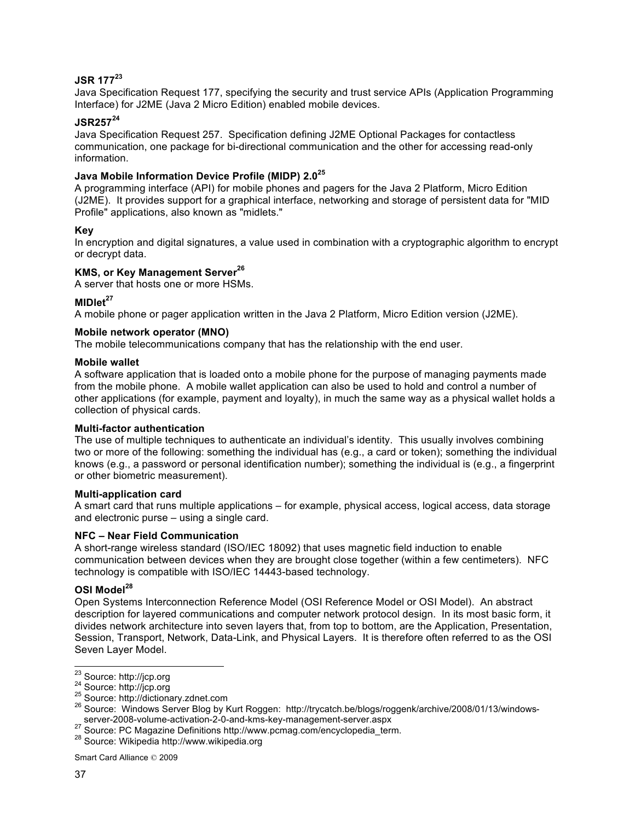### **JSR 177<sup>23</sup>**

Java Specification Request 177, specifying the security and trust service APIs (Application Programming Interface) for J2ME (Java 2 Micro Edition) enabled mobile devices.

### **JSR25724**

Java Specification Request 257. Specification defining J2ME Optional Packages for contactless communication, one package for bi-directional communication and the other for accessing read-only information.

#### **Java Mobile Information Device Profile (MIDP) 2.0<sup>25</sup>**

A programming interface (API) for mobile phones and pagers for the Java 2 Platform, Micro Edition (J2ME). It provides support for a graphical interface, networking and storage of persistent data for "MID Profile" applications, also known as "midlets."

#### **Key**

In encryption and digital signatures, a value used in combination with a cryptographic algorithm to encrypt or decrypt data.

### **KMS, or Key Management Server<sup>26</sup>**

A server that hosts one or more HSMs.

#### **MIDlet<sup>27</sup>**

A mobile phone or pager application written in the Java 2 Platform, Micro Edition version (J2ME).

#### **Mobile network operator (MNO)**

The mobile telecommunications company that has the relationship with the end user.

#### **Mobile wallet**

A software application that is loaded onto a mobile phone for the purpose of managing payments made from the mobile phone. A mobile wallet application can also be used to hold and control a number of other applications (for example, payment and loyalty), in much the same way as a physical wallet holds a collection of physical cards.

#### **Multi-factor authentication**

The use of multiple techniques to authenticate an individual's identity. This usually involves combining two or more of the following: something the individual has (e.g., a card or token); something the individual knows (e.g., a password or personal identification number); something the individual is (e.g., a fingerprint or other biometric measurement).

#### **Multi-application card**

A smart card that runs multiple applications – for example, physical access, logical access, data storage and electronic purse – using a single card.

#### **NFC – Near Field Communication**

A short-range wireless standard (ISO/IEC 18092) that uses magnetic field induction to enable communication between devices when they are brought close together (within a few centimeters). NFC technology is compatible with ISO/IEC 14443-based technology.

### **OSI Model28**

Open Systems Interconnection Reference Model (OSI Reference Model or OSI Model). An abstract description for layered communications and computer network protocol design. In its most basic form, it divides network architecture into seven layers that, from top to bottom, are the Application, Presentation, Session, Transport, Network, Data-Link, and Physical Layers. It is therefore often referred to as the OSI Seven Layer Model.

<sup>&</sup>lt;sup>23</sup> Source: http://jcp.org<br>
<sup>24</sup> Source: http://dictionary.zdnet.com<br>
<sup>25</sup> Source: Windows Server Blog by Kurt Roggen: http://trycatch.be/blogs/roggenk/archive/2008/01/13/windows-<br>
26 Source: Windows Server Blog by Kurt

<sup>&</sup>lt;sup>27</sup> Source: PC Magazine Definitions http://www.pcmag.com/encyclopedia\_term.<br><sup>28</sup> Source: Wikipedia http://www.wikipedia.org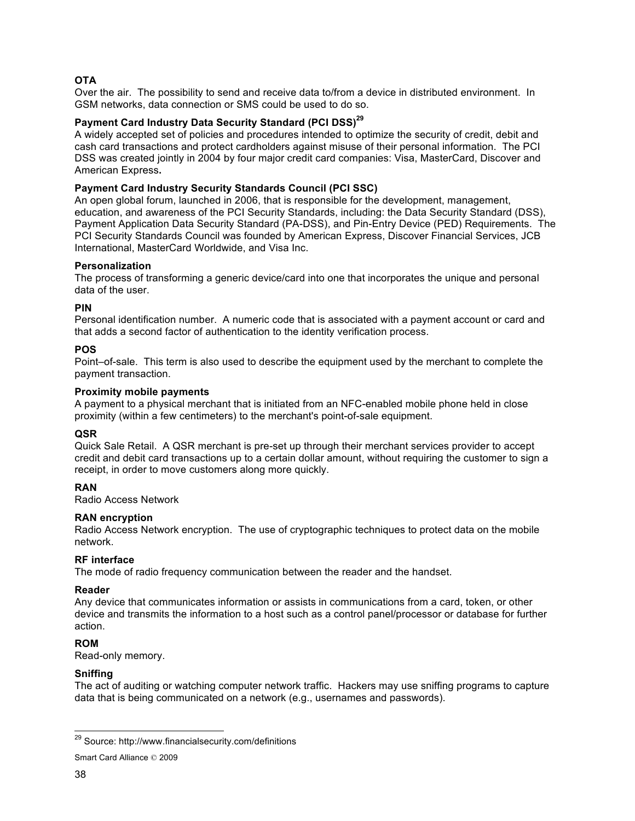### **OTA**

Over the air. The possibility to send and receive data to/from a device in distributed environment. In GSM networks, data connection or SMS could be used to do so.

### **Payment Card Industry Data Security Standard (PCI DSS) 29**

A widely accepted set of policies and procedures intended to optimize the security of credit, debit and cash card transactions and protect cardholders against misuse of their personal information. The PCI DSS was created jointly in 2004 by four major credit card companies: Visa, MasterCard, Discover and American Express**.**

#### **Payment Card Industry Security Standards Council (PCI SSC)**

An open global forum, launched in 2006, that is responsible for the development, management, education, and awareness of the PCI Security Standards, including: the Data Security Standard (DSS), Payment Application Data Security Standard (PA-DSS), and Pin-Entry Device (PED) Requirements. The PCI Security Standards Council was founded by American Express, Discover Financial Services, JCB International, MasterCard Worldwide, and Visa Inc.

#### **Personalization**

The process of transforming a generic device/card into one that incorporates the unique and personal data of the user.

#### **PIN**

Personal identification number. A numeric code that is associated with a payment account or card and that adds a second factor of authentication to the identity verification process.

#### **POS**

Point–of-sale. This term is also used to describe the equipment used by the merchant to complete the payment transaction.

#### **Proximity mobile payments**

A payment to a physical merchant that is initiated from an NFC-enabled mobile phone held in close proximity (within a few centimeters) to the merchant's point-of-sale equipment.

### **QSR**

Quick Sale Retail. A QSR merchant is pre-set up through their merchant services provider to accept credit and debit card transactions up to a certain dollar amount, without requiring the customer to sign a receipt, in order to move customers along more quickly.

### **RAN**

Radio Access Network

### **RAN encryption**

Radio Access Network encryption. The use of cryptographic techniques to protect data on the mobile network.

#### **RF interface**

The mode of radio frequency communication between the reader and the handset.

#### **Reader**

Any device that communicates information or assists in communications from a card, token, or other device and transmits the information to a host such as a control panel/processor or database for further action.

#### **ROM**

Read-only memory.

#### **Sniffing**

The act of auditing or watching computer network traffic. Hackers may use sniffing programs to capture data that is being communicated on a network (e.g., usernames and passwords).

 <sup>29</sup> Source: http://www.financialsecurity.com/definitions